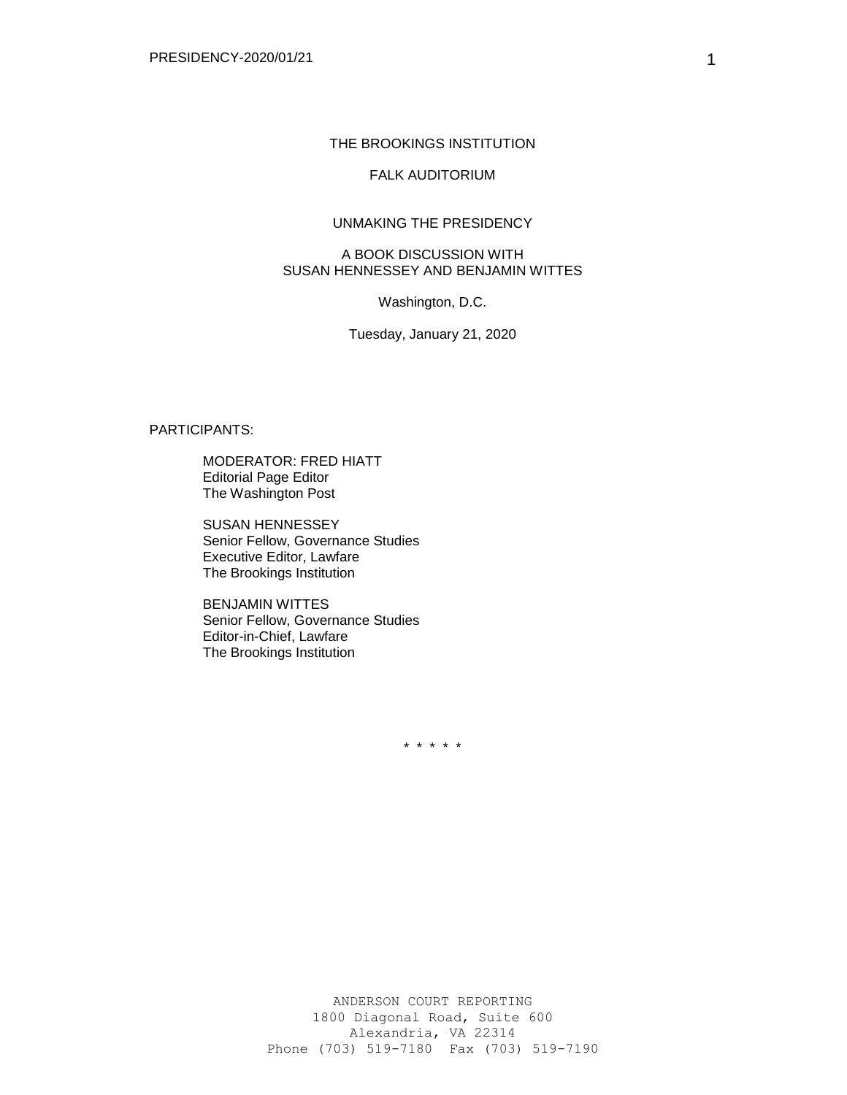#### THE BROOKINGS INSTITUTION

# FALK AUDITORIUM

## UNMAKING THE PRESIDENCY

## A BOOK DISCUSSION WITH SUSAN HENNESSEY AND BENJAMIN WITTES

Washington, D.C.

Tuesday, January 21, 2020

## PARTICIPANTS:

MODERATOR: FRED HIATT Editorial Page Editor The Washington Post

SUSAN HENNESSEY Senior Fellow, Governance Studies Executive Editor, Lawfare The Brookings Institution

BENJAMIN WITTES Senior Fellow, Governance Studies Editor-in-Chief, Lawfare The Brookings Institution

\* \* \* \* \*

1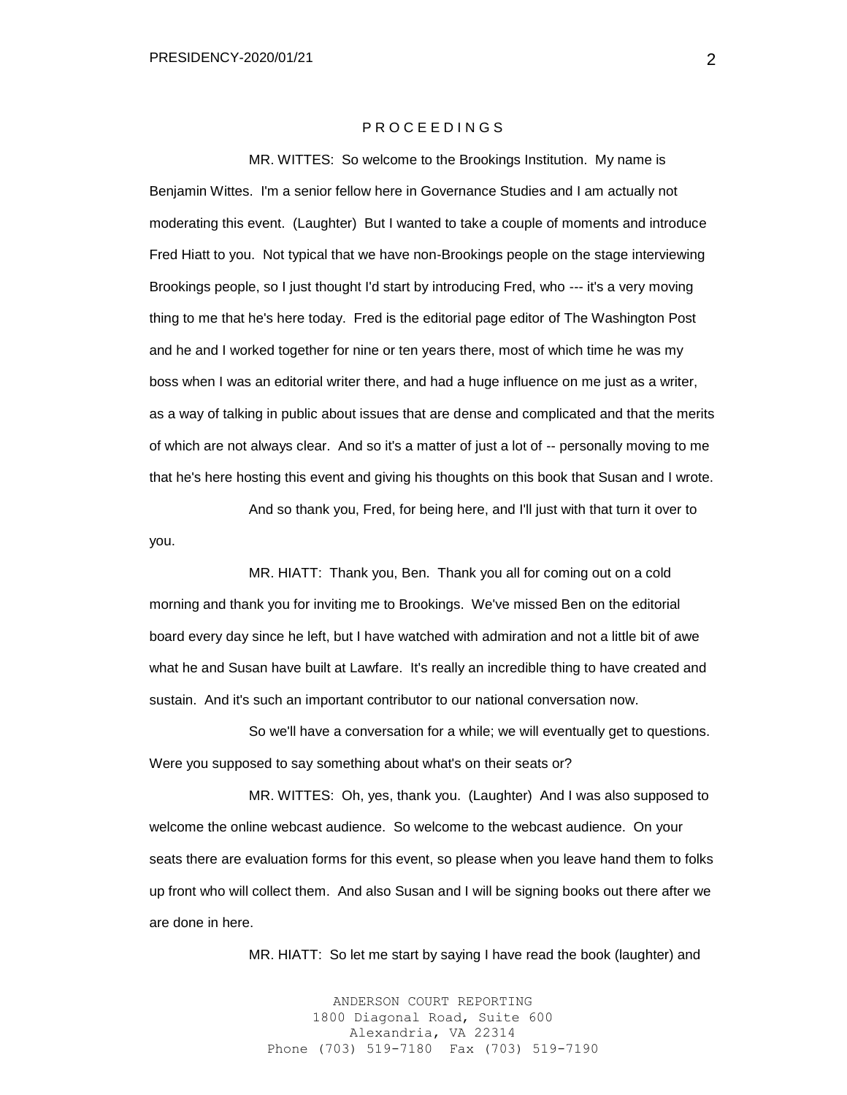### P R O C E E D I N G S

MR. WITTES: So welcome to the Brookings Institution. My name is Benjamin Wittes. I'm a senior fellow here in Governance Studies and I am actually not moderating this event. (Laughter) But I wanted to take a couple of moments and introduce Fred Hiatt to you. Not typical that we have non-Brookings people on the stage interviewing Brookings people, so I just thought I'd start by introducing Fred, who --- it's a very moving thing to me that he's here today. Fred is the editorial page editor of The Washington Post and he and I worked together for nine or ten years there, most of which time he was my boss when I was an editorial writer there, and had a huge influence on me just as a writer, as a way of talking in public about issues that are dense and complicated and that the merits of which are not always clear. And so it's a matter of just a lot of -- personally moving to me that he's here hosting this event and giving his thoughts on this book that Susan and I wrote.

And so thank you, Fred, for being here, and I'll just with that turn it over to you.

MR. HIATT: Thank you, Ben. Thank you all for coming out on a cold morning and thank you for inviting me to Brookings. We've missed Ben on the editorial board every day since he left, but I have watched with admiration and not a little bit of awe what he and Susan have built at Lawfare. It's really an incredible thing to have created and sustain. And it's such an important contributor to our national conversation now.

So we'll have a conversation for a while; we will eventually get to questions. Were you supposed to say something about what's on their seats or?

MR. WITTES: Oh, yes, thank you. (Laughter) And I was also supposed to welcome the online webcast audience. So welcome to the webcast audience. On your seats there are evaluation forms for this event, so please when you leave hand them to folks up front who will collect them. And also Susan and I will be signing books out there after we are done in here.

MR. HIATT: So let me start by saying I have read the book (laughter) and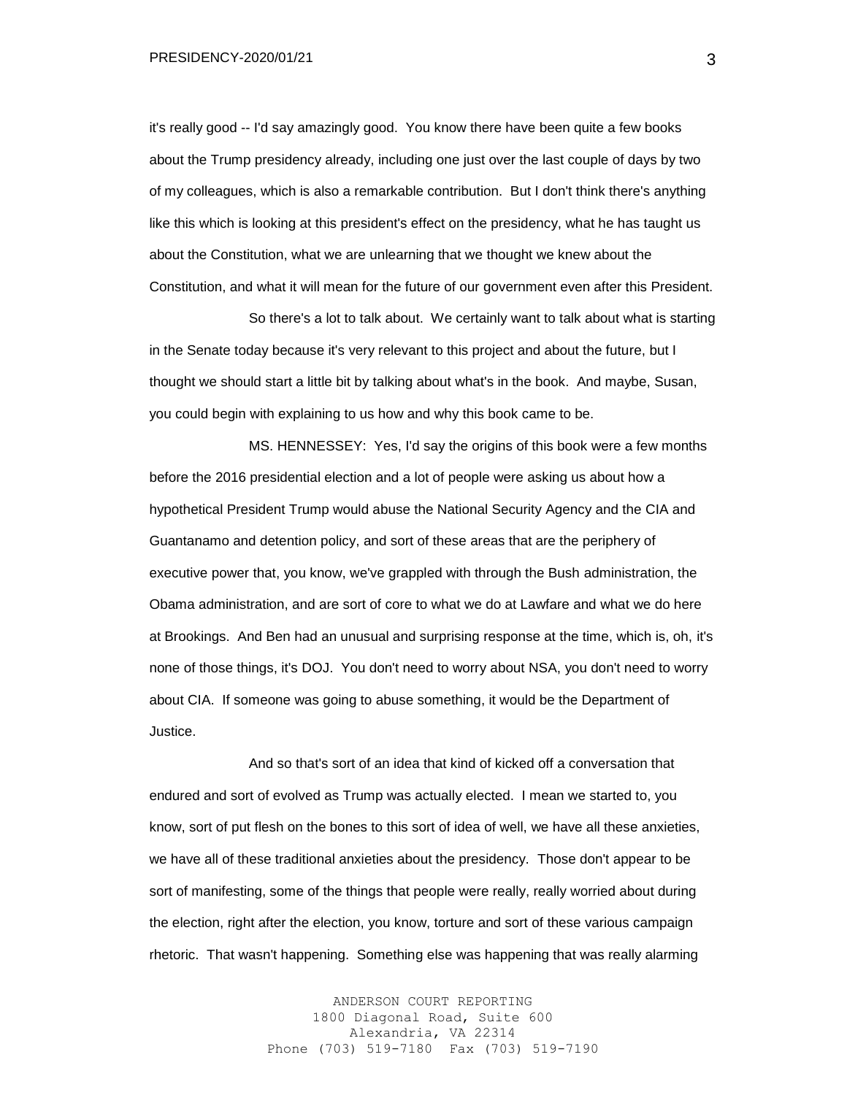it's really good -- I'd say amazingly good. You know there have been quite a few books about the Trump presidency already, including one just over the last couple of days by two of my colleagues, which is also a remarkable contribution. But I don't think there's anything like this which is looking at this president's effect on the presidency, what he has taught us about the Constitution, what we are unlearning that we thought we knew about the Constitution, and what it will mean for the future of our government even after this President.

So there's a lot to talk about. We certainly want to talk about what is starting in the Senate today because it's very relevant to this project and about the future, but I thought we should start a little bit by talking about what's in the book. And maybe, Susan, you could begin with explaining to us how and why this book came to be.

MS. HENNESSEY: Yes, I'd say the origins of this book were a few months before the 2016 presidential election and a lot of people were asking us about how a hypothetical President Trump would abuse the National Security Agency and the CIA and Guantanamo and detention policy, and sort of these areas that are the periphery of executive power that, you know, we've grappled with through the Bush administration, the Obama administration, and are sort of core to what we do at Lawfare and what we do here at Brookings. And Ben had an unusual and surprising response at the time, which is, oh, it's none of those things, it's DOJ. You don't need to worry about NSA, you don't need to worry about CIA. If someone was going to abuse something, it would be the Department of Justice.

And so that's sort of an idea that kind of kicked off a conversation that endured and sort of evolved as Trump was actually elected. I mean we started to, you know, sort of put flesh on the bones to this sort of idea of well, we have all these anxieties, we have all of these traditional anxieties about the presidency. Those don't appear to be sort of manifesting, some of the things that people were really, really worried about during the election, right after the election, you know, torture and sort of these various campaign rhetoric. That wasn't happening. Something else was happening that was really alarming

> ANDERSON COURT REPORTING 1800 Diagonal Road, Suite 600 Alexandria, VA 22314 Phone (703) 519-7180 Fax (703) 519-7190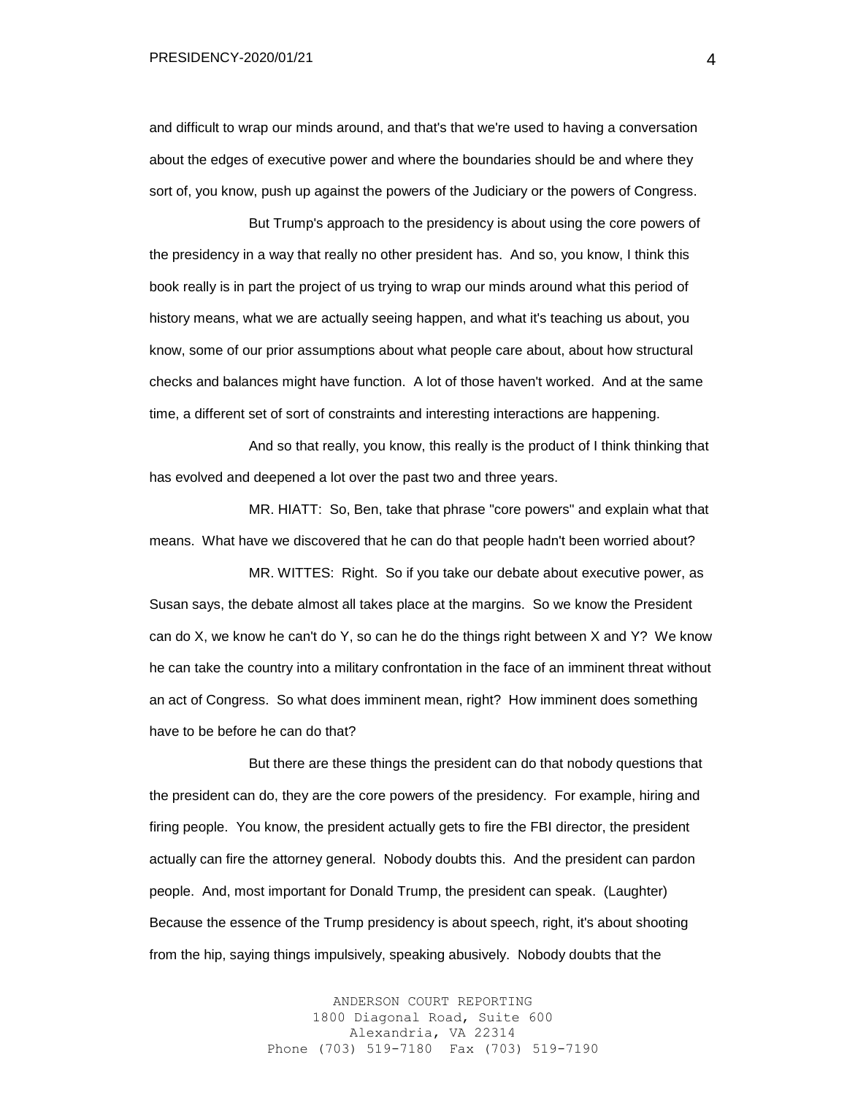and difficult to wrap our minds around, and that's that we're used to having a conversation about the edges of executive power and where the boundaries should be and where they sort of, you know, push up against the powers of the Judiciary or the powers of Congress.

But Trump's approach to the presidency is about using the core powers of the presidency in a way that really no other president has. And so, you know, I think this book really is in part the project of us trying to wrap our minds around what this period of history means, what we are actually seeing happen, and what it's teaching us about, you know, some of our prior assumptions about what people care about, about how structural checks and balances might have function. A lot of those haven't worked. And at the same time, a different set of sort of constraints and interesting interactions are happening.

And so that really, you know, this really is the product of I think thinking that has evolved and deepened a lot over the past two and three years.

MR. HIATT: So, Ben, take that phrase "core powers" and explain what that means. What have we discovered that he can do that people hadn't been worried about?

MR. WITTES: Right. So if you take our debate about executive power, as Susan says, the debate almost all takes place at the margins. So we know the President can do X, we know he can't do Y, so can he do the things right between X and Y? We know he can take the country into a military confrontation in the face of an imminent threat without an act of Congress. So what does imminent mean, right? How imminent does something have to be before he can do that?

But there are these things the president can do that nobody questions that the president can do, they are the core powers of the presidency. For example, hiring and firing people. You know, the president actually gets to fire the FBI director, the president actually can fire the attorney general. Nobody doubts this. And the president can pardon people. And, most important for Donald Trump, the president can speak. (Laughter) Because the essence of the Trump presidency is about speech, right, it's about shooting from the hip, saying things impulsively, speaking abusively. Nobody doubts that the

> ANDERSON COURT REPORTING 1800 Diagonal Road, Suite 600 Alexandria, VA 22314 Phone (703) 519-7180 Fax (703) 519-7190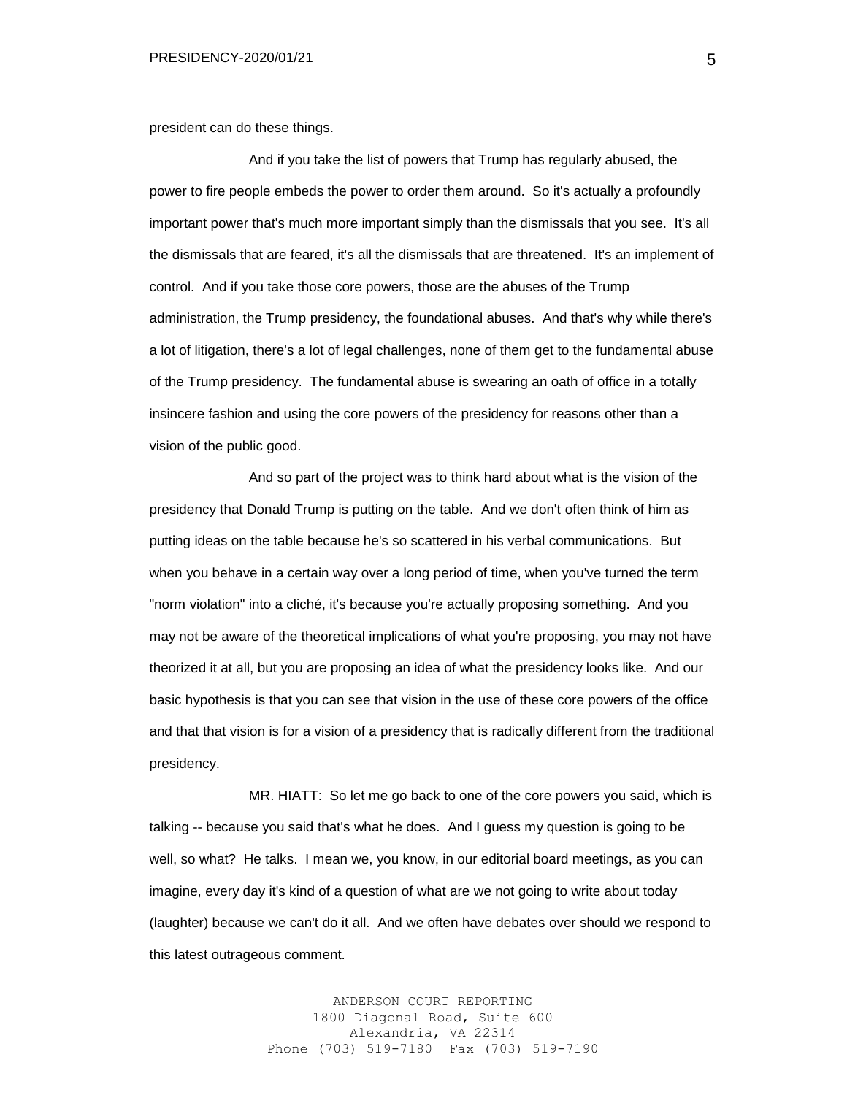president can do these things.

And if you take the list of powers that Trump has regularly abused, the power to fire people embeds the power to order them around. So it's actually a profoundly important power that's much more important simply than the dismissals that you see. It's all the dismissals that are feared, it's all the dismissals that are threatened. It's an implement of control. And if you take those core powers, those are the abuses of the Trump administration, the Trump presidency, the foundational abuses. And that's why while there's a lot of litigation, there's a lot of legal challenges, none of them get to the fundamental abuse of the Trump presidency. The fundamental abuse is swearing an oath of office in a totally insincere fashion and using the core powers of the presidency for reasons other than a vision of the public good.

And so part of the project was to think hard about what is the vision of the presidency that Donald Trump is putting on the table. And we don't often think of him as putting ideas on the table because he's so scattered in his verbal communications. But when you behave in a certain way over a long period of time, when you've turned the term "norm violation" into a cliché, it's because you're actually proposing something. And you may not be aware of the theoretical implications of what you're proposing, you may not have theorized it at all, but you are proposing an idea of what the presidency looks like. And our basic hypothesis is that you can see that vision in the use of these core powers of the office and that that vision is for a vision of a presidency that is radically different from the traditional presidency.

MR. HIATT: So let me go back to one of the core powers you said, which is talking -- because you said that's what he does. And I guess my question is going to be well, so what? He talks. I mean we, you know, in our editorial board meetings, as you can imagine, every day it's kind of a question of what are we not going to write about today (laughter) because we can't do it all. And we often have debates over should we respond to this latest outrageous comment.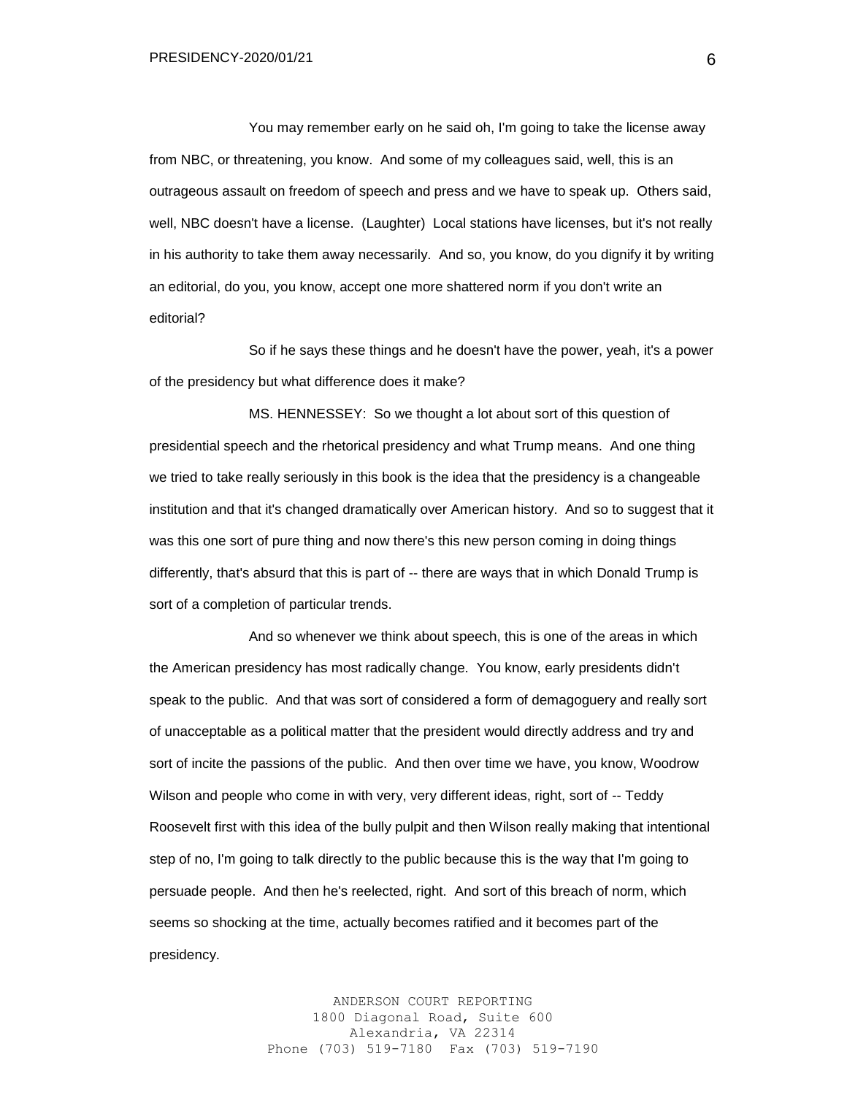You may remember early on he said oh, I'm going to take the license away from NBC, or threatening, you know. And some of my colleagues said, well, this is an outrageous assault on freedom of speech and press and we have to speak up. Others said, well, NBC doesn't have a license. (Laughter) Local stations have licenses, but it's not really in his authority to take them away necessarily. And so, you know, do you dignify it by writing an editorial, do you, you know, accept one more shattered norm if you don't write an editorial?

So if he says these things and he doesn't have the power, yeah, it's a power of the presidency but what difference does it make?

MS. HENNESSEY: So we thought a lot about sort of this question of presidential speech and the rhetorical presidency and what Trump means. And one thing we tried to take really seriously in this book is the idea that the presidency is a changeable institution and that it's changed dramatically over American history. And so to suggest that it was this one sort of pure thing and now there's this new person coming in doing things differently, that's absurd that this is part of -- there are ways that in which Donald Trump is sort of a completion of particular trends.

And so whenever we think about speech, this is one of the areas in which the American presidency has most radically change. You know, early presidents didn't speak to the public. And that was sort of considered a form of demagoguery and really sort of unacceptable as a political matter that the president would directly address and try and sort of incite the passions of the public. And then over time we have, you know, Woodrow Wilson and people who come in with very, very different ideas, right, sort of -- Teddy Roosevelt first with this idea of the bully pulpit and then Wilson really making that intentional step of no, I'm going to talk directly to the public because this is the way that I'm going to persuade people. And then he's reelected, right. And sort of this breach of norm, which seems so shocking at the time, actually becomes ratified and it becomes part of the presidency.

> ANDERSON COURT REPORTING 1800 Diagonal Road, Suite 600 Alexandria, VA 22314 Phone (703) 519-7180 Fax (703) 519-7190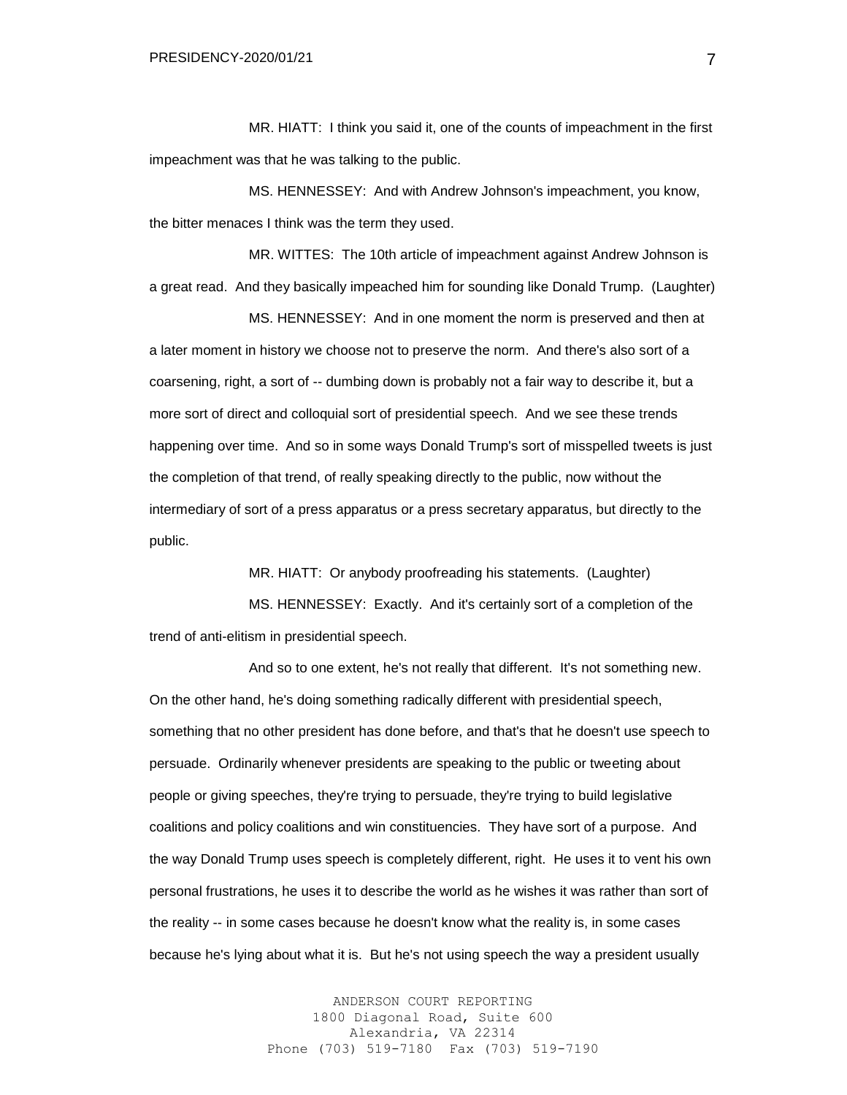MR. HIATT: I think you said it, one of the counts of impeachment in the first impeachment was that he was talking to the public.

MS. HENNESSEY: And with Andrew Johnson's impeachment, you know, the bitter menaces I think was the term they used.

MR. WITTES: The 10th article of impeachment against Andrew Johnson is a great read. And they basically impeached him for sounding like Donald Trump. (Laughter)

MS. HENNESSEY: And in one moment the norm is preserved and then at a later moment in history we choose not to preserve the norm. And there's also sort of a coarsening, right, a sort of -- dumbing down is probably not a fair way to describe it, but a more sort of direct and colloquial sort of presidential speech. And we see these trends happening over time. And so in some ways Donald Trump's sort of misspelled tweets is just the completion of that trend, of really speaking directly to the public, now without the intermediary of sort of a press apparatus or a press secretary apparatus, but directly to the public.

MR. HIATT: Or anybody proofreading his statements. (Laughter)

MS. HENNESSEY: Exactly. And it's certainly sort of a completion of the trend of anti-elitism in presidential speech.

And so to one extent, he's not really that different. It's not something new. On the other hand, he's doing something radically different with presidential speech, something that no other president has done before, and that's that he doesn't use speech to persuade. Ordinarily whenever presidents are speaking to the public or tweeting about people or giving speeches, they're trying to persuade, they're trying to build legislative coalitions and policy coalitions and win constituencies. They have sort of a purpose. And the way Donald Trump uses speech is completely different, right. He uses it to vent his own personal frustrations, he uses it to describe the world as he wishes it was rather than sort of the reality -- in some cases because he doesn't know what the reality is, in some cases because he's lying about what it is. But he's not using speech the way a president usually

> ANDERSON COURT REPORTING 1800 Diagonal Road, Suite 600 Alexandria, VA 22314 Phone (703) 519-7180 Fax (703) 519-7190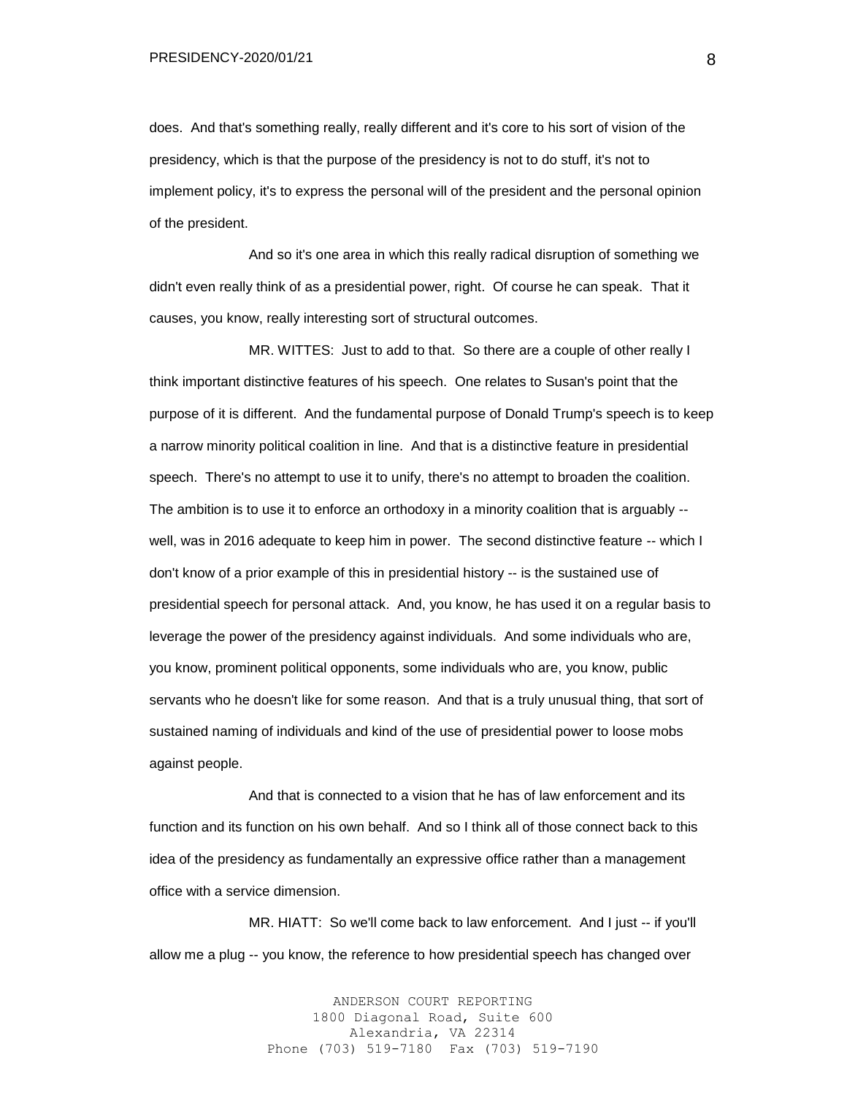does. And that's something really, really different and it's core to his sort of vision of the presidency, which is that the purpose of the presidency is not to do stuff, it's not to implement policy, it's to express the personal will of the president and the personal opinion of the president.

And so it's one area in which this really radical disruption of something we didn't even really think of as a presidential power, right. Of course he can speak. That it causes, you know, really interesting sort of structural outcomes.

MR. WITTES: Just to add to that. So there are a couple of other really I think important distinctive features of his speech. One relates to Susan's point that the purpose of it is different. And the fundamental purpose of Donald Trump's speech is to keep a narrow minority political coalition in line. And that is a distinctive feature in presidential speech. There's no attempt to use it to unify, there's no attempt to broaden the coalition. The ambition is to use it to enforce an orthodoxy in a minority coalition that is arguably - well, was in 2016 adequate to keep him in power. The second distinctive feature -- which I don't know of a prior example of this in presidential history -- is the sustained use of presidential speech for personal attack. And, you know, he has used it on a regular basis to leverage the power of the presidency against individuals. And some individuals who are, you know, prominent political opponents, some individuals who are, you know, public servants who he doesn't like for some reason. And that is a truly unusual thing, that sort of sustained naming of individuals and kind of the use of presidential power to loose mobs against people.

And that is connected to a vision that he has of law enforcement and its function and its function on his own behalf. And so I think all of those connect back to this idea of the presidency as fundamentally an expressive office rather than a management office with a service dimension.

MR. HIATT: So we'll come back to law enforcement. And I just -- if you'll allow me a plug -- you know, the reference to how presidential speech has changed over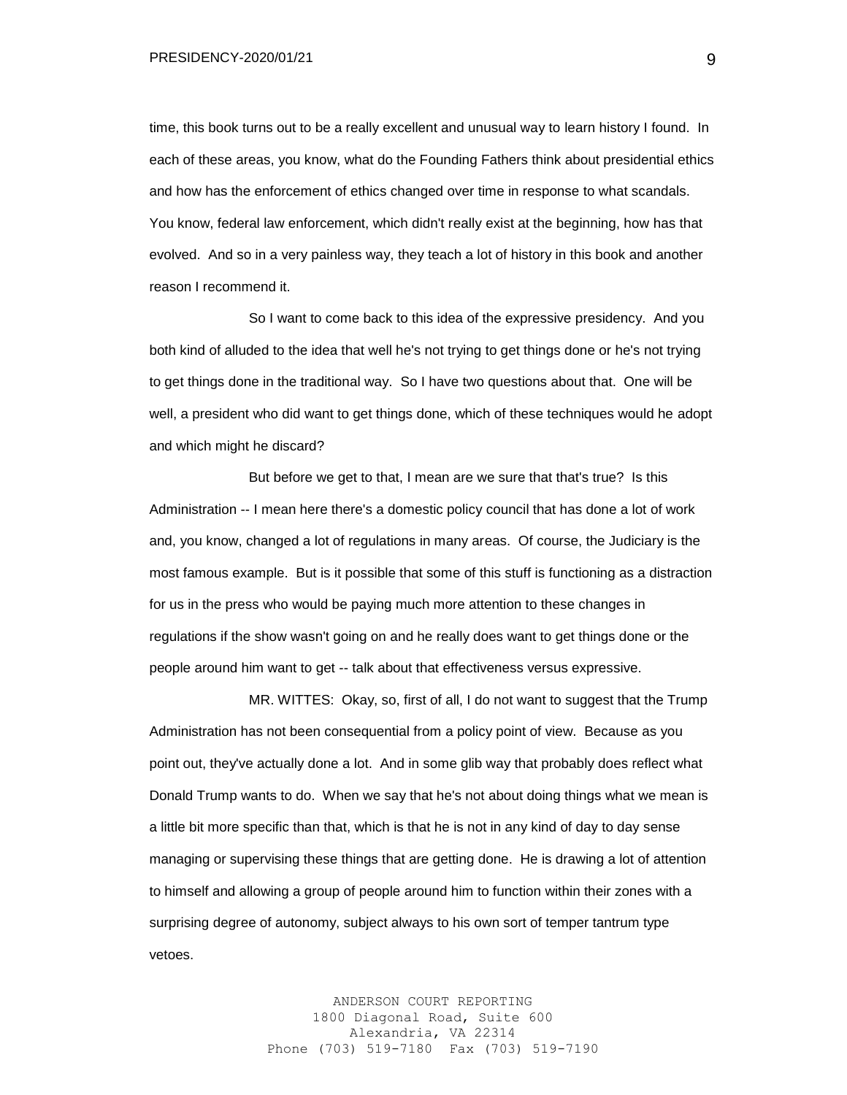PRESIDENCY-2020/01/21

time, this book turns out to be a really excellent and unusual way to learn history I found. In each of these areas, you know, what do the Founding Fathers think about presidential ethics and how has the enforcement of ethics changed over time in response to what scandals. You know, federal law enforcement, which didn't really exist at the beginning, how has that evolved. And so in a very painless way, they teach a lot of history in this book and another reason I recommend it.

So I want to come back to this idea of the expressive presidency. And you both kind of alluded to the idea that well he's not trying to get things done or he's not trying to get things done in the traditional way. So I have two questions about that. One will be well, a president who did want to get things done, which of these techniques would he adopt and which might he discard?

But before we get to that, I mean are we sure that that's true? Is this Administration -- I mean here there's a domestic policy council that has done a lot of work and, you know, changed a lot of regulations in many areas. Of course, the Judiciary is the most famous example. But is it possible that some of this stuff is functioning as a distraction for us in the press who would be paying much more attention to these changes in regulations if the show wasn't going on and he really does want to get things done or the people around him want to get -- talk about that effectiveness versus expressive.

MR. WITTES: Okay, so, first of all, I do not want to suggest that the Trump Administration has not been consequential from a policy point of view. Because as you point out, they've actually done a lot. And in some glib way that probably does reflect what Donald Trump wants to do. When we say that he's not about doing things what we mean is a little bit more specific than that, which is that he is not in any kind of day to day sense managing or supervising these things that are getting done. He is drawing a lot of attention to himself and allowing a group of people around him to function within their zones with a surprising degree of autonomy, subject always to his own sort of temper tantrum type vetoes.

> ANDERSON COURT REPORTING 1800 Diagonal Road, Suite 600 Alexandria, VA 22314 Phone (703) 519-7180 Fax (703) 519-7190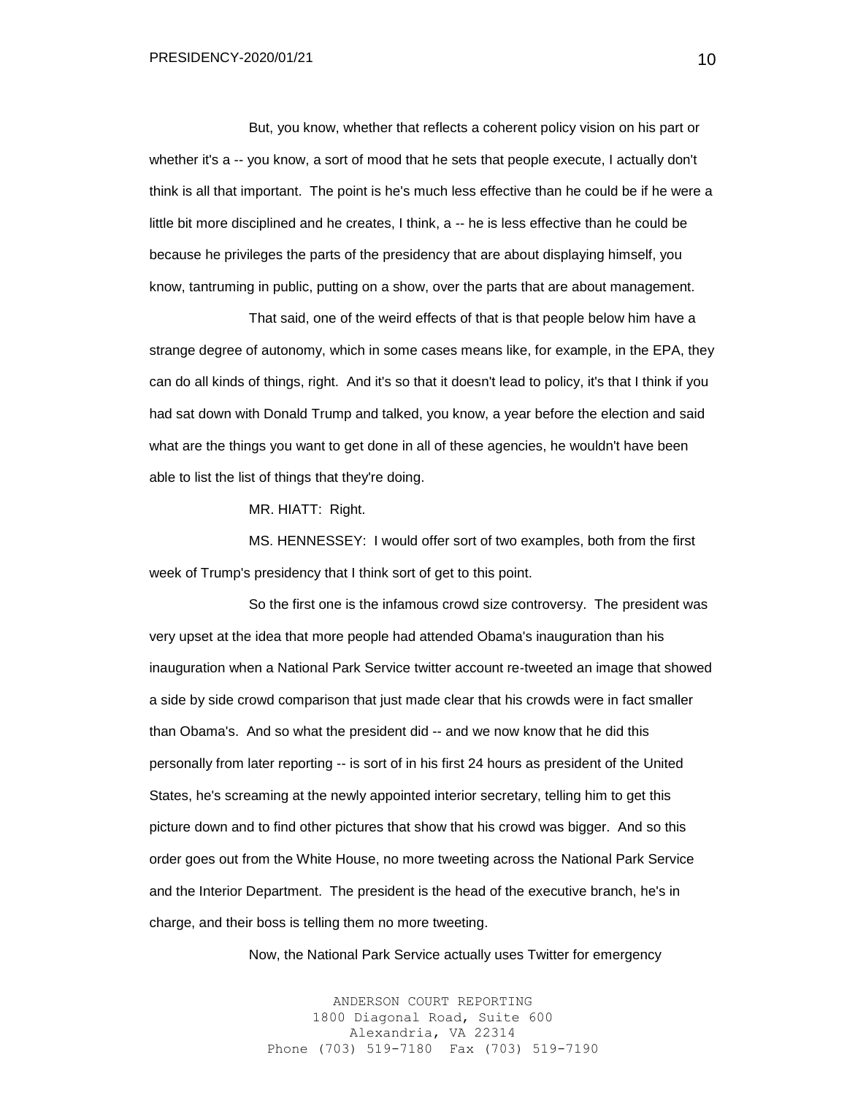But, you know, whether that reflects a coherent policy vision on his part or whether it's a -- you know, a sort of mood that he sets that people execute, I actually don't think is all that important. The point is he's much less effective than he could be if he were a little bit more disciplined and he creates, I think, a -- he is less effective than he could be because he privileges the parts of the presidency that are about displaying himself, you know, tantruming in public, putting on a show, over the parts that are about management.

That said, one of the weird effects of that is that people below him have a strange degree of autonomy, which in some cases means like, for example, in the EPA, they can do all kinds of things, right. And it's so that it doesn't lead to policy, it's that I think if you had sat down with Donald Trump and talked, you know, a year before the election and said what are the things you want to get done in all of these agencies, he wouldn't have been able to list the list of things that they're doing.

MR. HIATT: Right.

MS. HENNESSEY: I would offer sort of two examples, both from the first week of Trump's presidency that I think sort of get to this point.

So the first one is the infamous crowd size controversy. The president was very upset at the idea that more people had attended Obama's inauguration than his inauguration when a National Park Service twitter account re-tweeted an image that showed a side by side crowd comparison that just made clear that his crowds were in fact smaller than Obama's. And so what the president did -- and we now know that he did this personally from later reporting -- is sort of in his first 24 hours as president of the United States, he's screaming at the newly appointed interior secretary, telling him to get this picture down and to find other pictures that show that his crowd was bigger. And so this order goes out from the White House, no more tweeting across the National Park Service and the Interior Department. The president is the head of the executive branch, he's in charge, and their boss is telling them no more tweeting.

Now, the National Park Service actually uses Twitter for emergency

ANDERSON COURT REPORTING 1800 Diagonal Road, Suite 600 Alexandria, VA 22314 Phone (703) 519-7180 Fax (703) 519-7190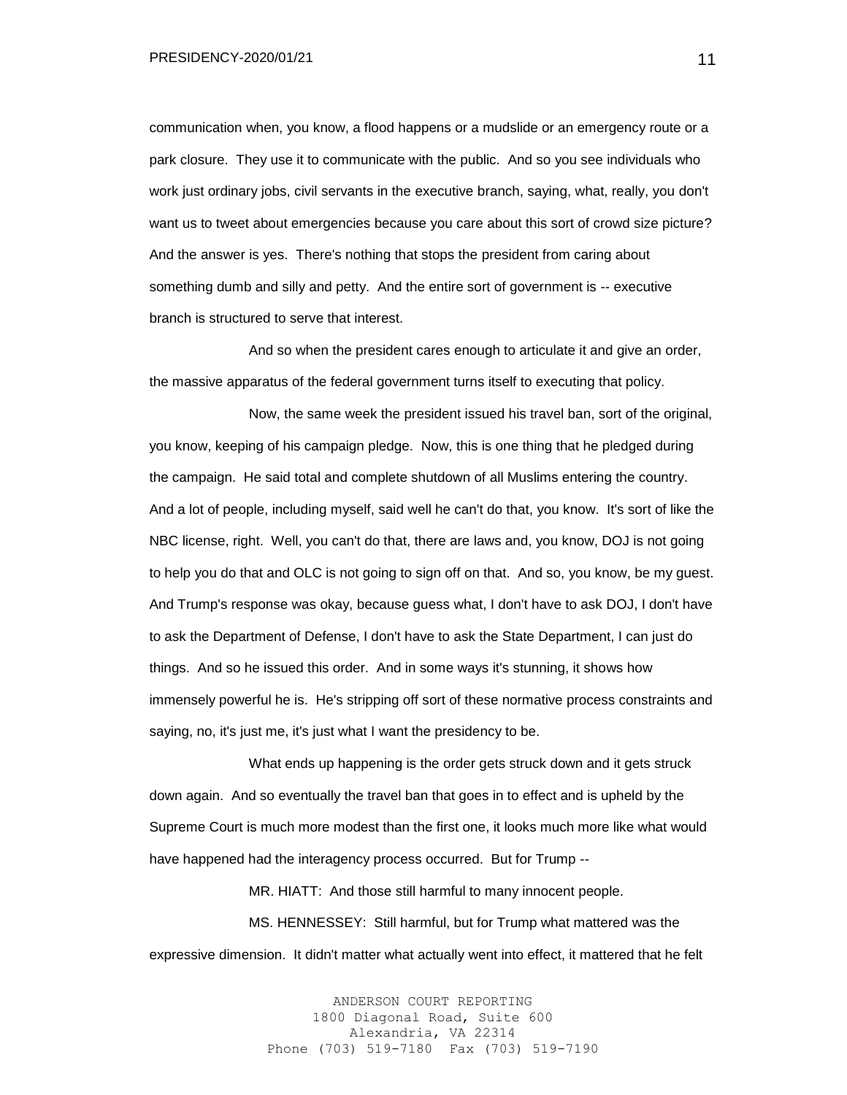communication when, you know, a flood happens or a mudslide or an emergency route or a park closure. They use it to communicate with the public. And so you see individuals who work just ordinary jobs, civil servants in the executive branch, saying, what, really, you don't want us to tweet about emergencies because you care about this sort of crowd size picture? And the answer is yes. There's nothing that stops the president from caring about something dumb and silly and petty. And the entire sort of government is -- executive branch is structured to serve that interest.

And so when the president cares enough to articulate it and give an order, the massive apparatus of the federal government turns itself to executing that policy.

Now, the same week the president issued his travel ban, sort of the original, you know, keeping of his campaign pledge. Now, this is one thing that he pledged during the campaign. He said total and complete shutdown of all Muslims entering the country. And a lot of people, including myself, said well he can't do that, you know. It's sort of like the NBC license, right. Well, you can't do that, there are laws and, you know, DOJ is not going to help you do that and OLC is not going to sign off on that. And so, you know, be my guest. And Trump's response was okay, because guess what, I don't have to ask DOJ, I don't have to ask the Department of Defense, I don't have to ask the State Department, I can just do things. And so he issued this order. And in some ways it's stunning, it shows how immensely powerful he is. He's stripping off sort of these normative process constraints and saying, no, it's just me, it's just what I want the presidency to be.

What ends up happening is the order gets struck down and it gets struck down again. And so eventually the travel ban that goes in to effect and is upheld by the Supreme Court is much more modest than the first one, it looks much more like what would have happened had the interagency process occurred. But for Trump --

MR. HIATT: And those still harmful to many innocent people.

MS. HENNESSEY: Still harmful, but for Trump what mattered was the expressive dimension. It didn't matter what actually went into effect, it mattered that he felt

> ANDERSON COURT REPORTING 1800 Diagonal Road, Suite 600 Alexandria, VA 22314 Phone (703) 519-7180 Fax (703) 519-7190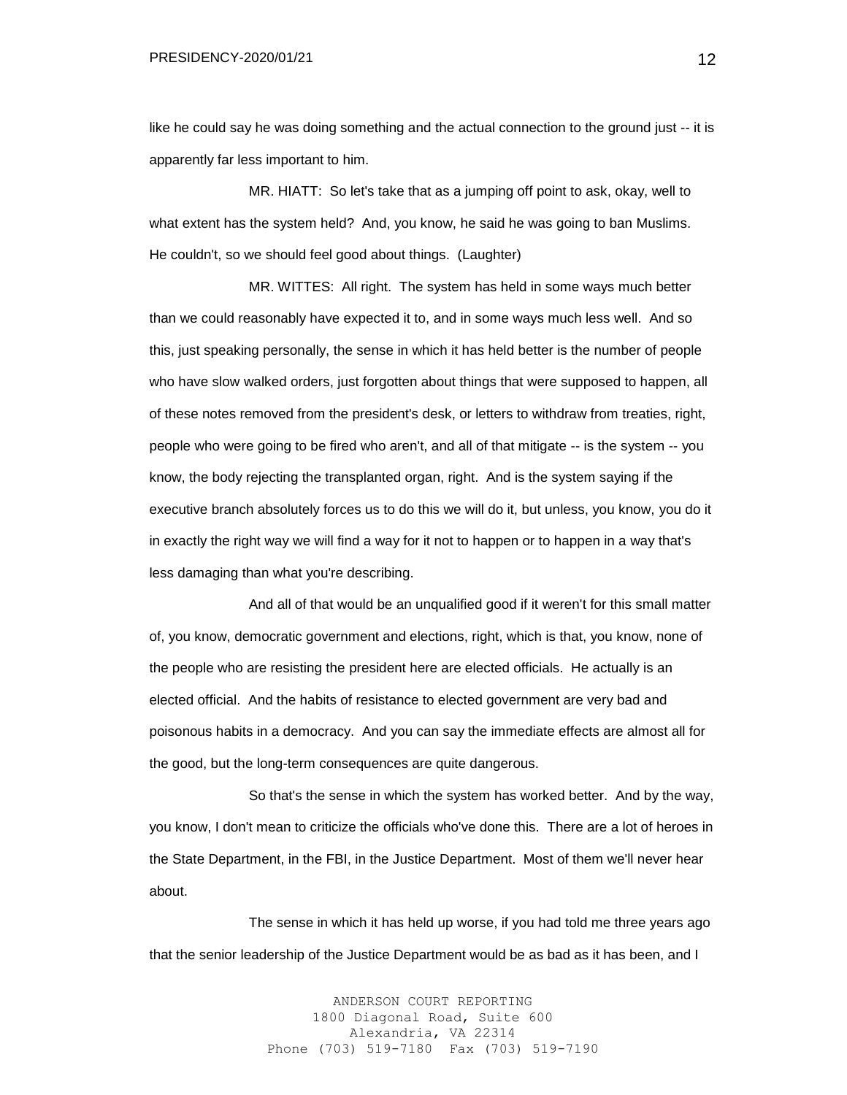like he could say he was doing something and the actual connection to the ground just -- it is apparently far less important to him.

MR. HIATT: So let's take that as a jumping off point to ask, okay, well to what extent has the system held? And, you know, he said he was going to ban Muslims. He couldn't, so we should feel good about things. (Laughter)

MR. WITTES: All right. The system has held in some ways much better than we could reasonably have expected it to, and in some ways much less well. And so this, just speaking personally, the sense in which it has held better is the number of people who have slow walked orders, just forgotten about things that were supposed to happen, all of these notes removed from the president's desk, or letters to withdraw from treaties, right, people who were going to be fired who aren't, and all of that mitigate -- is the system -- you know, the body rejecting the transplanted organ, right. And is the system saying if the executive branch absolutely forces us to do this we will do it, but unless, you know, you do it in exactly the right way we will find a way for it not to happen or to happen in a way that's less damaging than what you're describing.

And all of that would be an unqualified good if it weren't for this small matter of, you know, democratic government and elections, right, which is that, you know, none of the people who are resisting the president here are elected officials. He actually is an elected official. And the habits of resistance to elected government are very bad and poisonous habits in a democracy. And you can say the immediate effects are almost all for the good, but the long-term consequences are quite dangerous.

So that's the sense in which the system has worked better. And by the way, you know, I don't mean to criticize the officials who've done this. There are a lot of heroes in the State Department, in the FBI, in the Justice Department. Most of them we'll never hear about.

The sense in which it has held up worse, if you had told me three years ago that the senior leadership of the Justice Department would be as bad as it has been, and I

> ANDERSON COURT REPORTING 1800 Diagonal Road, Suite 600 Alexandria, VA 22314 Phone (703) 519-7180 Fax (703) 519-7190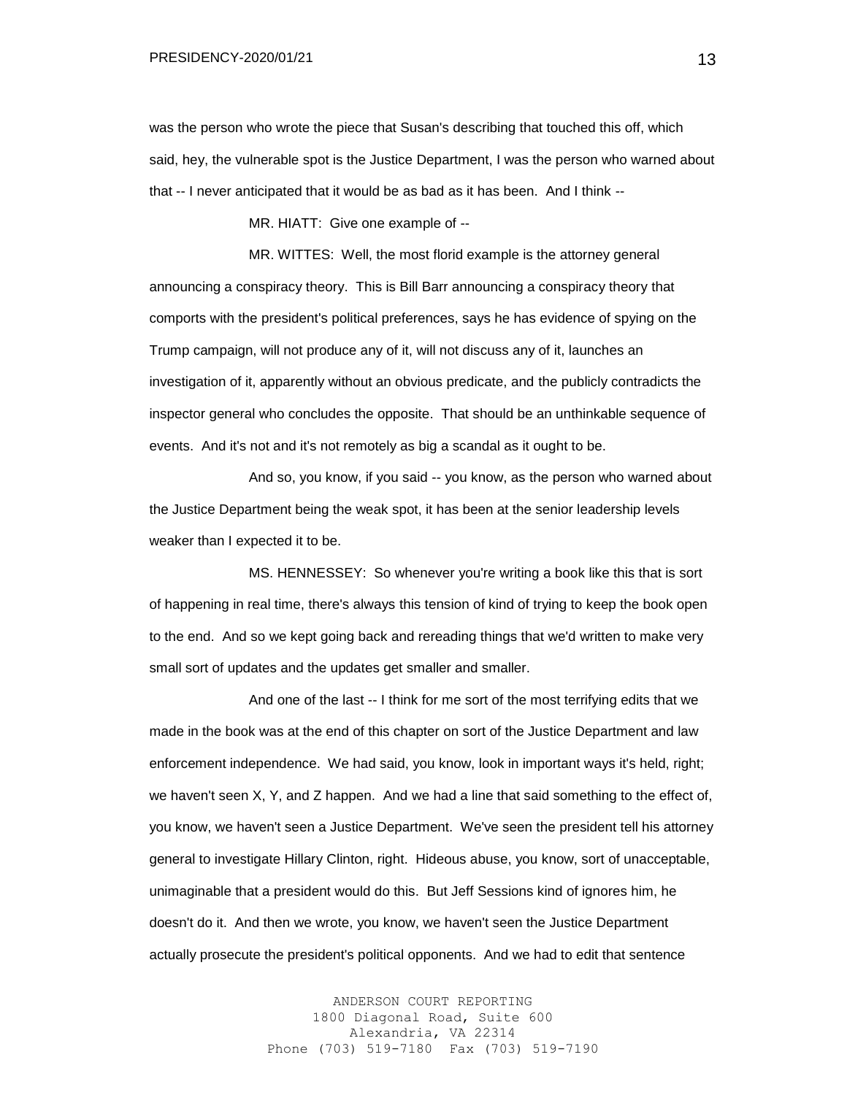was the person who wrote the piece that Susan's describing that touched this off, which said, hey, the vulnerable spot is the Justice Department, I was the person who warned about that -- I never anticipated that it would be as bad as it has been. And I think --

MR. HIATT: Give one example of --

MR. WITTES: Well, the most florid example is the attorney general announcing a conspiracy theory. This is Bill Barr announcing a conspiracy theory that comports with the president's political preferences, says he has evidence of spying on the Trump campaign, will not produce any of it, will not discuss any of it, launches an investigation of it, apparently without an obvious predicate, and the publicly contradicts the inspector general who concludes the opposite. That should be an unthinkable sequence of events. And it's not and it's not remotely as big a scandal as it ought to be.

And so, you know, if you said -- you know, as the person who warned about the Justice Department being the weak spot, it has been at the senior leadership levels weaker than I expected it to be.

MS. HENNESSEY: So whenever you're writing a book like this that is sort of happening in real time, there's always this tension of kind of trying to keep the book open to the end. And so we kept going back and rereading things that we'd written to make very small sort of updates and the updates get smaller and smaller.

And one of the last -- I think for me sort of the most terrifying edits that we made in the book was at the end of this chapter on sort of the Justice Department and law enforcement independence. We had said, you know, look in important ways it's held, right; we haven't seen X, Y, and Z happen. And we had a line that said something to the effect of, you know, we haven't seen a Justice Department. We've seen the president tell his attorney general to investigate Hillary Clinton, right. Hideous abuse, you know, sort of unacceptable, unimaginable that a president would do this. But Jeff Sessions kind of ignores him, he doesn't do it. And then we wrote, you know, we haven't seen the Justice Department actually prosecute the president's political opponents. And we had to edit that sentence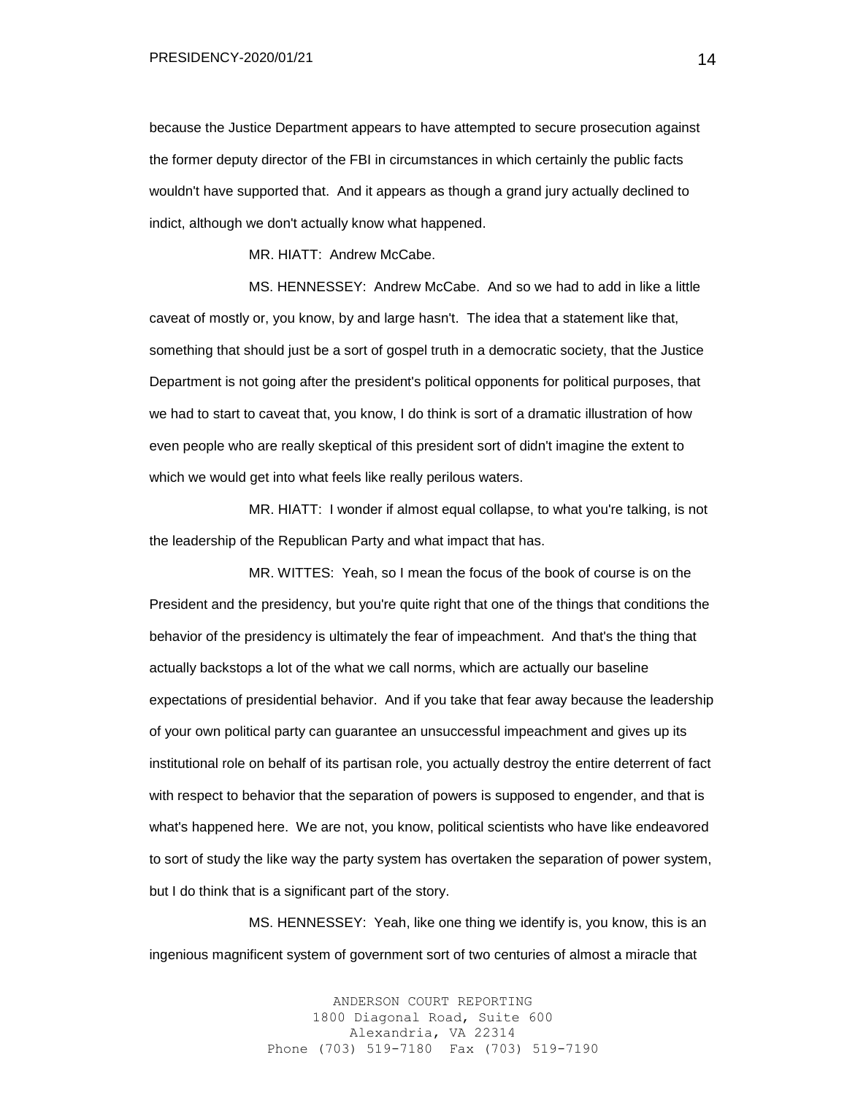PRESIDENCY-2020/01/21

because the Justice Department appears to have attempted to secure prosecution against the former deputy director of the FBI in circumstances in which certainly the public facts wouldn't have supported that. And it appears as though a grand jury actually declined to indict, although we don't actually know what happened.

MR. HIATT: Andrew McCabe.

MS. HENNESSEY: Andrew McCabe. And so we had to add in like a little caveat of mostly or, you know, by and large hasn't. The idea that a statement like that, something that should just be a sort of gospel truth in a democratic society, that the Justice Department is not going after the president's political opponents for political purposes, that we had to start to caveat that, you know, I do think is sort of a dramatic illustration of how even people who are really skeptical of this president sort of didn't imagine the extent to which we would get into what feels like really perilous waters.

MR. HIATT: I wonder if almost equal collapse, to what you're talking, is not the leadership of the Republican Party and what impact that has.

MR. WITTES: Yeah, so I mean the focus of the book of course is on the President and the presidency, but you're quite right that one of the things that conditions the behavior of the presidency is ultimately the fear of impeachment. And that's the thing that actually backstops a lot of the what we call norms, which are actually our baseline expectations of presidential behavior. And if you take that fear away because the leadership of your own political party can guarantee an unsuccessful impeachment and gives up its institutional role on behalf of its partisan role, you actually destroy the entire deterrent of fact with respect to behavior that the separation of powers is supposed to engender, and that is what's happened here. We are not, you know, political scientists who have like endeavored to sort of study the like way the party system has overtaken the separation of power system, but I do think that is a significant part of the story.

MS. HENNESSEY: Yeah, like one thing we identify is, you know, this is an ingenious magnificent system of government sort of two centuries of almost a miracle that

> ANDERSON COURT REPORTING 1800 Diagonal Road, Suite 600 Alexandria, VA 22314 Phone (703) 519-7180 Fax (703) 519-7190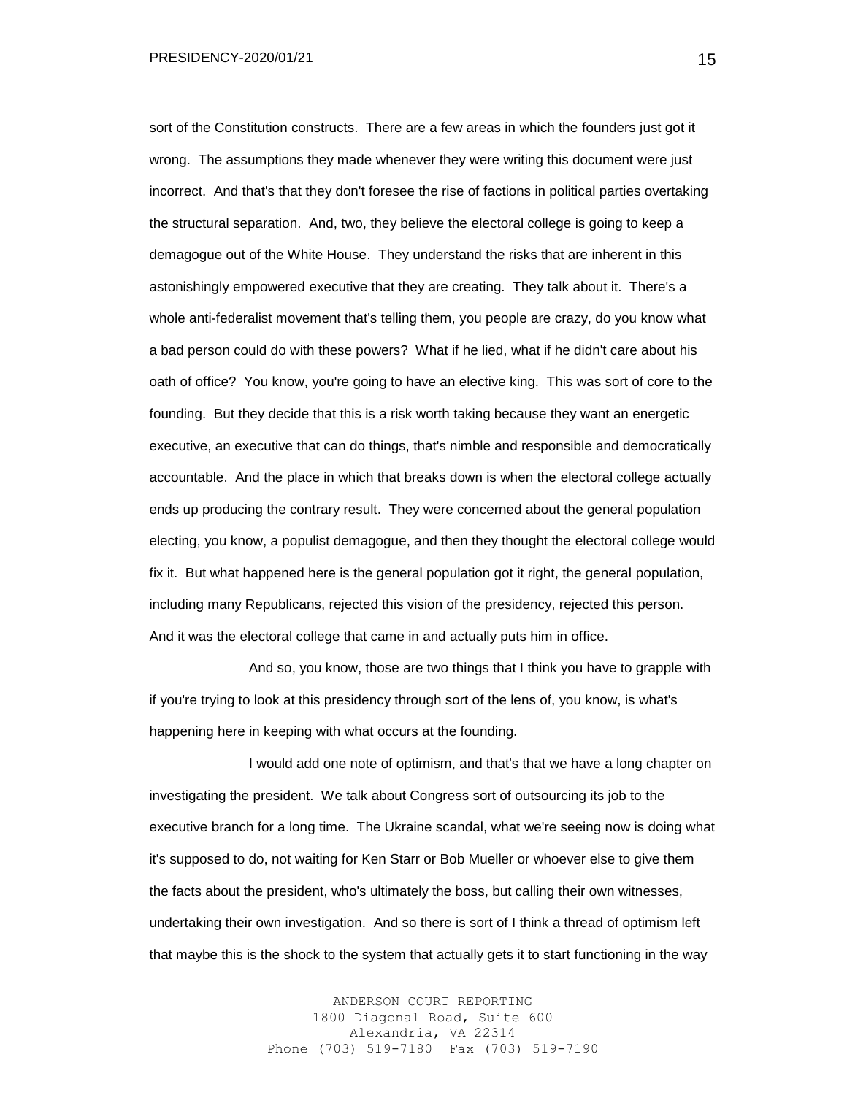sort of the Constitution constructs. There are a few areas in which the founders just got it wrong. The assumptions they made whenever they were writing this document were just incorrect. And that's that they don't foresee the rise of factions in political parties overtaking the structural separation. And, two, they believe the electoral college is going to keep a demagogue out of the White House. They understand the risks that are inherent in this astonishingly empowered executive that they are creating. They talk about it. There's a whole anti-federalist movement that's telling them, you people are crazy, do you know what a bad person could do with these powers? What if he lied, what if he didn't care about his oath of office? You know, you're going to have an elective king. This was sort of core to the founding. But they decide that this is a risk worth taking because they want an energetic executive, an executive that can do things, that's nimble and responsible and democratically accountable. And the place in which that breaks down is when the electoral college actually ends up producing the contrary result. They were concerned about the general population electing, you know, a populist demagogue, and then they thought the electoral college would fix it. But what happened here is the general population got it right, the general population, including many Republicans, rejected this vision of the presidency, rejected this person. And it was the electoral college that came in and actually puts him in office.

And so, you know, those are two things that I think you have to grapple with if you're trying to look at this presidency through sort of the lens of, you know, is what's happening here in keeping with what occurs at the founding.

I would add one note of optimism, and that's that we have a long chapter on investigating the president. We talk about Congress sort of outsourcing its job to the executive branch for a long time. The Ukraine scandal, what we're seeing now is doing what it's supposed to do, not waiting for Ken Starr or Bob Mueller or whoever else to give them the facts about the president, who's ultimately the boss, but calling their own witnesses, undertaking their own investigation. And so there is sort of I think a thread of optimism left that maybe this is the shock to the system that actually gets it to start functioning in the way

> ANDERSON COURT REPORTING 1800 Diagonal Road, Suite 600 Alexandria, VA 22314 Phone (703) 519-7180 Fax (703) 519-7190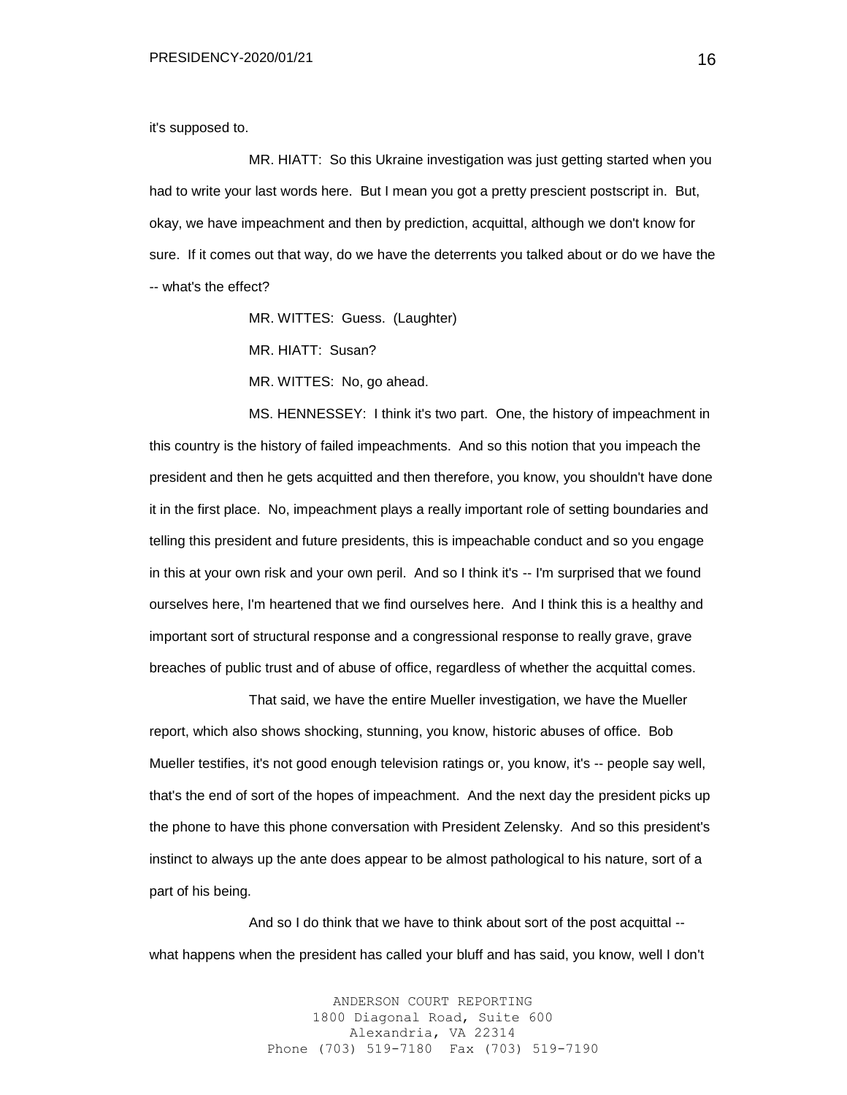it's supposed to.

MR. HIATT: So this Ukraine investigation was just getting started when you had to write your last words here. But I mean you got a pretty prescient postscript in. But, okay, we have impeachment and then by prediction, acquittal, although we don't know for sure. If it comes out that way, do we have the deterrents you talked about or do we have the -- what's the effect?

MR. WITTES: Guess. (Laughter)

MR. HIATT: Susan?

MR. WITTES: No, go ahead.

MS. HENNESSEY: I think it's two part. One, the history of impeachment in this country is the history of failed impeachments. And so this notion that you impeach the president and then he gets acquitted and then therefore, you know, you shouldn't have done it in the first place. No, impeachment plays a really important role of setting boundaries and telling this president and future presidents, this is impeachable conduct and so you engage in this at your own risk and your own peril. And so I think it's -- I'm surprised that we found ourselves here, I'm heartened that we find ourselves here. And I think this is a healthy and important sort of structural response and a congressional response to really grave, grave breaches of public trust and of abuse of office, regardless of whether the acquittal comes.

That said, we have the entire Mueller investigation, we have the Mueller report, which also shows shocking, stunning, you know, historic abuses of office. Bob Mueller testifies, it's not good enough television ratings or, you know, it's -- people say well, that's the end of sort of the hopes of impeachment. And the next day the president picks up the phone to have this phone conversation with President Zelensky. And so this president's instinct to always up the ante does appear to be almost pathological to his nature, sort of a part of his being.

And so I do think that we have to think about sort of the post acquittal - what happens when the president has called your bluff and has said, you know, well I don't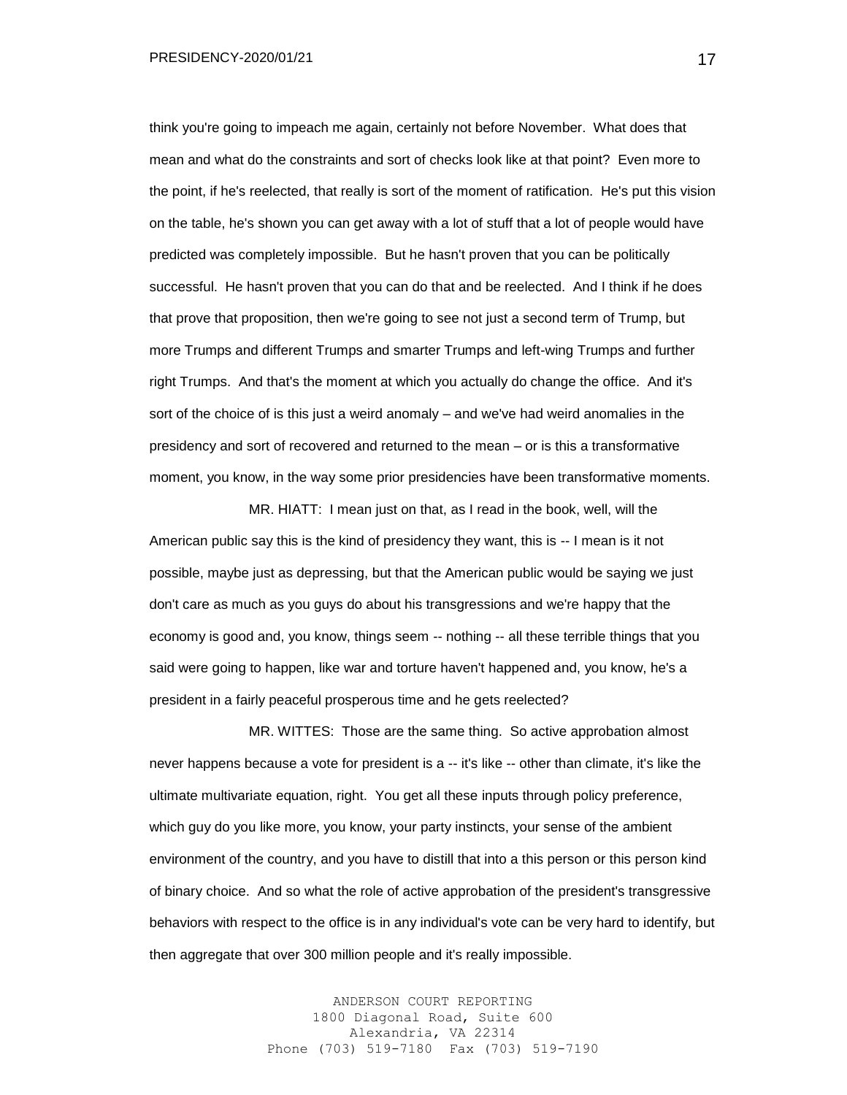think you're going to impeach me again, certainly not before November. What does that mean and what do the constraints and sort of checks look like at that point? Even more to the point, if he's reelected, that really is sort of the moment of ratification. He's put this vision on the table, he's shown you can get away with a lot of stuff that a lot of people would have predicted was completely impossible. But he hasn't proven that you can be politically successful. He hasn't proven that you can do that and be reelected. And I think if he does that prove that proposition, then we're going to see not just a second term of Trump, but more Trumps and different Trumps and smarter Trumps and left-wing Trumps and further right Trumps. And that's the moment at which you actually do change the office. And it's sort of the choice of is this just a weird anomaly – and we've had weird anomalies in the presidency and sort of recovered and returned to the mean – or is this a transformative moment, you know, in the way some prior presidencies have been transformative moments.

MR. HIATT: I mean just on that, as I read in the book, well, will the American public say this is the kind of presidency they want, this is -- I mean is it not possible, maybe just as depressing, but that the American public would be saying we just don't care as much as you guys do about his transgressions and we're happy that the economy is good and, you know, things seem -- nothing -- all these terrible things that you said were going to happen, like war and torture haven't happened and, you know, he's a president in a fairly peaceful prosperous time and he gets reelected?

MR. WITTES: Those are the same thing. So active approbation almost never happens because a vote for president is a -- it's like -- other than climate, it's like the ultimate multivariate equation, right. You get all these inputs through policy preference, which guy do you like more, you know, your party instincts, your sense of the ambient environment of the country, and you have to distill that into a this person or this person kind of binary choice. And so what the role of active approbation of the president's transgressive behaviors with respect to the office is in any individual's vote can be very hard to identify, but then aggregate that over 300 million people and it's really impossible.

> ANDERSON COURT REPORTING 1800 Diagonal Road, Suite 600 Alexandria, VA 22314 Phone (703) 519-7180 Fax (703) 519-7190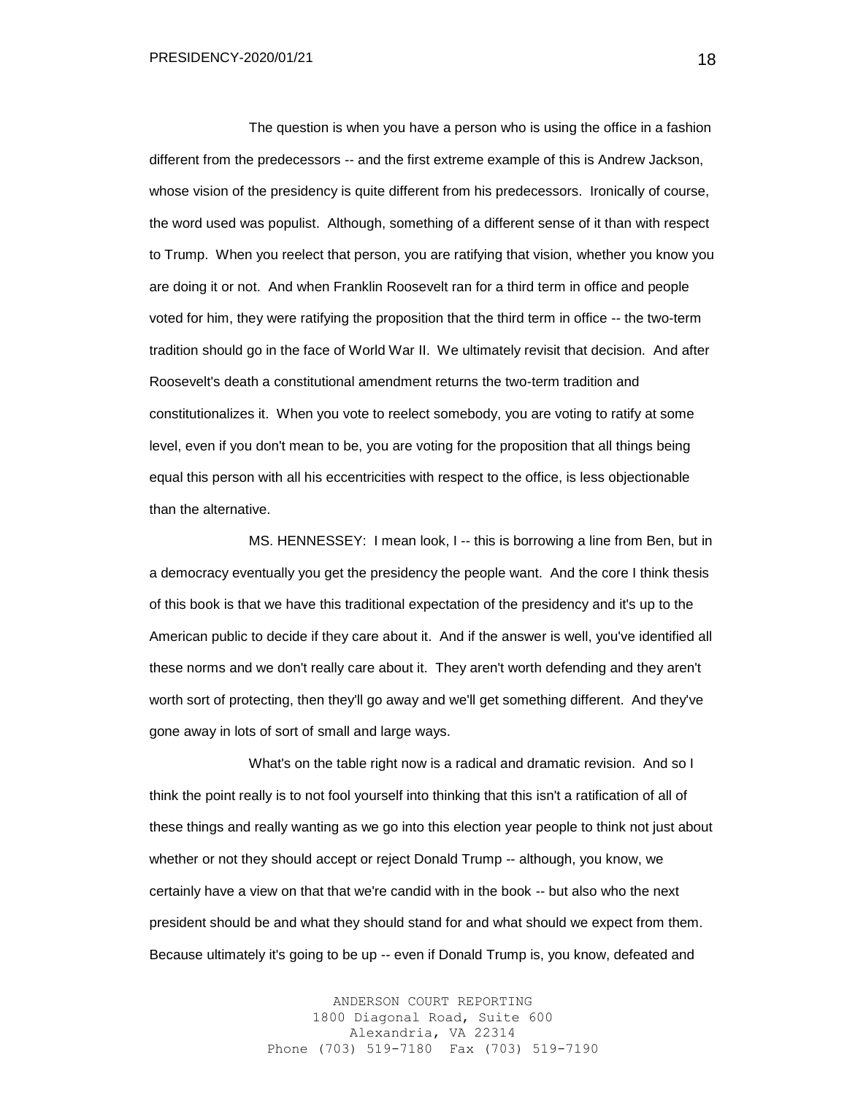The question is when you have a person who is using the office in a fashion different from the predecessors -- and the first extreme example of this is Andrew Jackson, whose vision of the presidency is quite different from his predecessors. Ironically of course, the word used was populist. Although, something of a different sense of it than with respect to Trump. When you reelect that person, you are ratifying that vision, whether you know you are doing it or not. And when Franklin Roosevelt ran for a third term in office and people voted for him, they were ratifying the proposition that the third term in office -- the two-term tradition should go in the face of World War II. We ultimately revisit that decision. And after Roosevelt's death a constitutional amendment returns the two-term tradition and constitutionalizes it. When you vote to reelect somebody, you are voting to ratify at some level, even if you don't mean to be, you are voting for the proposition that all things being equal this person with all his eccentricities with respect to the office, is less objectionable than the alternative.

MS. HENNESSEY: I mean look, I -- this is borrowing a line from Ben, but in a democracy eventually you get the presidency the people want. And the core I think thesis of this book is that we have this traditional expectation of the presidency and it's up to the American public to decide if they care about it. And if the answer is well, you've identified all these norms and we don't really care about it. They aren't worth defending and they aren't worth sort of protecting, then they'll go away and we'll get something different. And they've gone away in lots of sort of small and large ways.

What's on the table right now is a radical and dramatic revision. And so I think the point really is to not fool yourself into thinking that this isn't a ratification of all of these things and really wanting as we go into this election year people to think not just about whether or not they should accept or reject Donald Trump -- although, you know, we certainly have a view on that that we're candid with in the book -- but also who the next president should be and what they should stand for and what should we expect from them. Because ultimately it's going to be up -- even if Donald Trump is, you know, defeated and

> ANDERSON COURT REPORTING 1800 Diagonal Road, Suite 600 Alexandria, VA 22314 Phone (703) 519-7180 Fax (703) 519-7190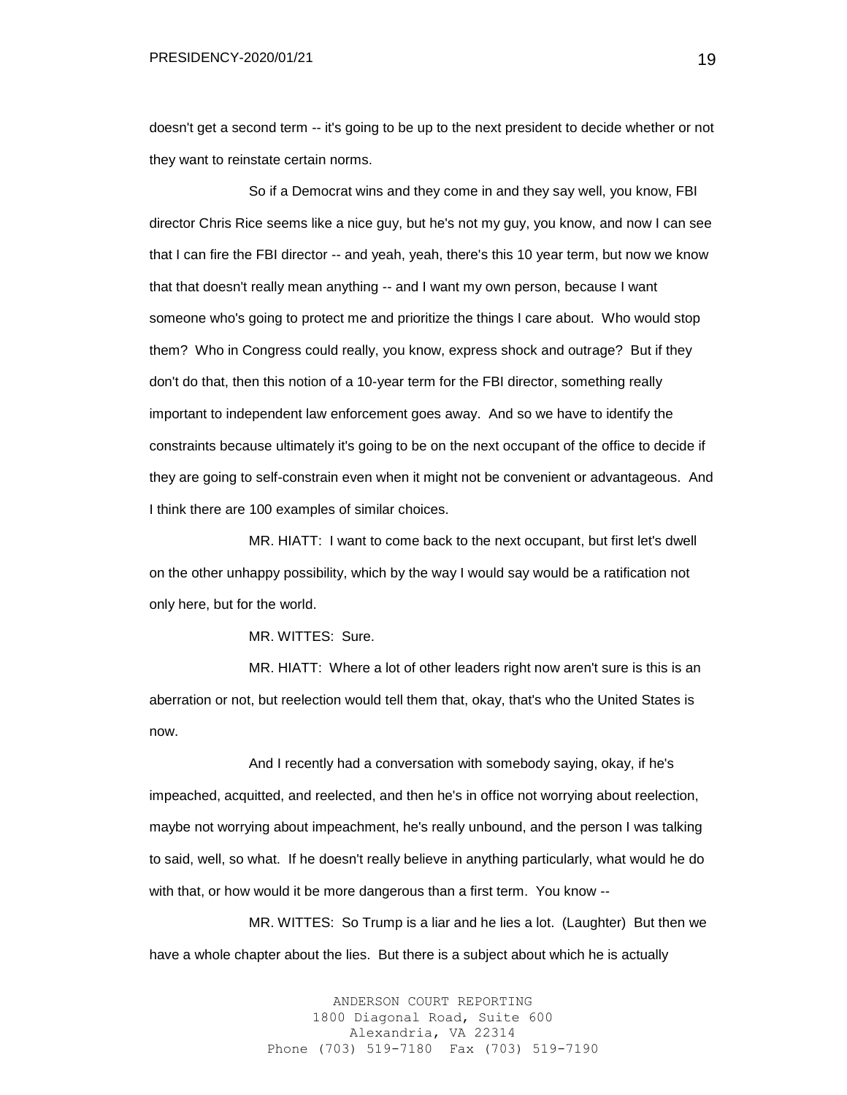doesn't get a second term -- it's going to be up to the next president to decide whether or not they want to reinstate certain norms.

So if a Democrat wins and they come in and they say well, you know, FBI director Chris Rice seems like a nice guy, but he's not my guy, you know, and now I can see that I can fire the FBI director -- and yeah, yeah, there's this 10 year term, but now we know that that doesn't really mean anything -- and I want my own person, because I want someone who's going to protect me and prioritize the things I care about. Who would stop them? Who in Congress could really, you know, express shock and outrage? But if they don't do that, then this notion of a 10-year term for the FBI director, something really important to independent law enforcement goes away. And so we have to identify the constraints because ultimately it's going to be on the next occupant of the office to decide if they are going to self-constrain even when it might not be convenient or advantageous. And I think there are 100 examples of similar choices.

MR. HIATT: I want to come back to the next occupant, but first let's dwell on the other unhappy possibility, which by the way I would say would be a ratification not only here, but for the world.

MR. WITTES: Sure.

MR. HIATT: Where a lot of other leaders right now aren't sure is this is an aberration or not, but reelection would tell them that, okay, that's who the United States is now.

And I recently had a conversation with somebody saying, okay, if he's impeached, acquitted, and reelected, and then he's in office not worrying about reelection, maybe not worrying about impeachment, he's really unbound, and the person I was talking to said, well, so what. If he doesn't really believe in anything particularly, what would he do with that, or how would it be more dangerous than a first term. You know --

MR. WITTES: So Trump is a liar and he lies a lot. (Laughter) But then we have a whole chapter about the lies. But there is a subject about which he is actually

> ANDERSON COURT REPORTING 1800 Diagonal Road, Suite 600 Alexandria, VA 22314 Phone (703) 519-7180 Fax (703) 519-7190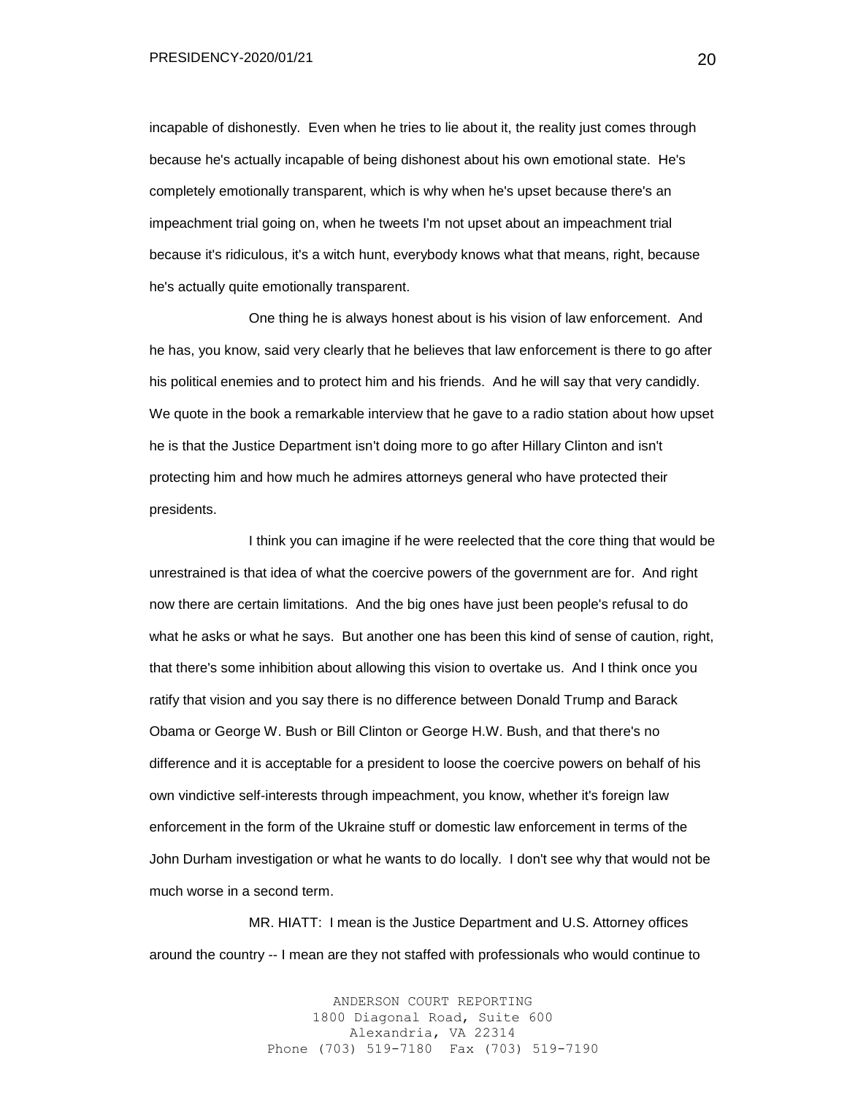PRESIDENCY-2020/01/21

incapable of dishonestly. Even when he tries to lie about it, the reality just comes through because he's actually incapable of being dishonest about his own emotional state. He's completely emotionally transparent, which is why when he's upset because there's an impeachment trial going on, when he tweets I'm not upset about an impeachment trial because it's ridiculous, it's a witch hunt, everybody knows what that means, right, because he's actually quite emotionally transparent.

One thing he is always honest about is his vision of law enforcement. And he has, you know, said very clearly that he believes that law enforcement is there to go after his political enemies and to protect him and his friends. And he will say that very candidly. We quote in the book a remarkable interview that he gave to a radio station about how upset he is that the Justice Department isn't doing more to go after Hillary Clinton and isn't protecting him and how much he admires attorneys general who have protected their presidents.

I think you can imagine if he were reelected that the core thing that would be unrestrained is that idea of what the coercive powers of the government are for. And right now there are certain limitations. And the big ones have just been people's refusal to do what he asks or what he says. But another one has been this kind of sense of caution, right, that there's some inhibition about allowing this vision to overtake us. And I think once you ratify that vision and you say there is no difference between Donald Trump and Barack Obama or George W. Bush or Bill Clinton or George H.W. Bush, and that there's no difference and it is acceptable for a president to loose the coercive powers on behalf of his own vindictive self-interests through impeachment, you know, whether it's foreign law enforcement in the form of the Ukraine stuff or domestic law enforcement in terms of the John Durham investigation or what he wants to do locally. I don't see why that would not be much worse in a second term.

MR. HIATT: I mean is the Justice Department and U.S. Attorney offices around the country -- I mean are they not staffed with professionals who would continue to

> ANDERSON COURT REPORTING 1800 Diagonal Road, Suite 600 Alexandria, VA 22314 Phone (703) 519-7180 Fax (703) 519-7190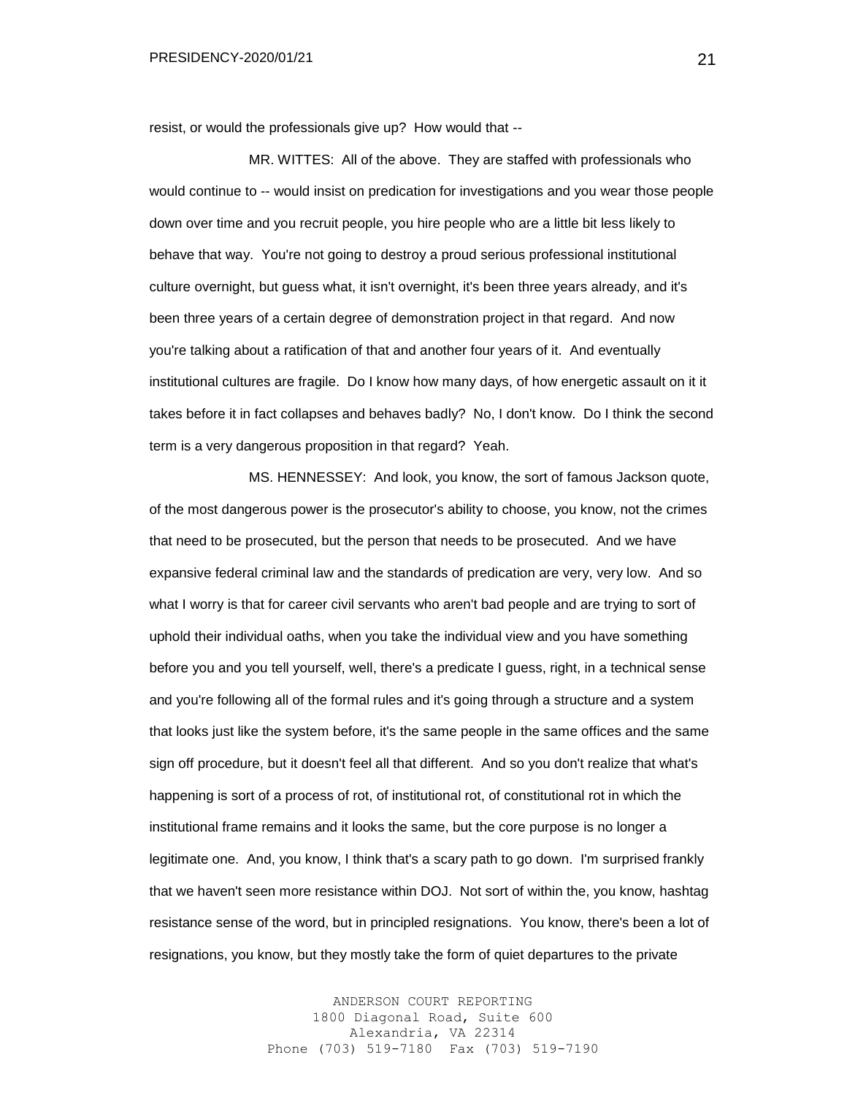resist, or would the professionals give up? How would that --

MR. WITTES: All of the above. They are staffed with professionals who would continue to -- would insist on predication for investigations and you wear those people down over time and you recruit people, you hire people who are a little bit less likely to behave that way. You're not going to destroy a proud serious professional institutional culture overnight, but guess what, it isn't overnight, it's been three years already, and it's been three years of a certain degree of demonstration project in that regard. And now you're talking about a ratification of that and another four years of it. And eventually institutional cultures are fragile. Do I know how many days, of how energetic assault on it it takes before it in fact collapses and behaves badly? No, I don't know. Do I think the second term is a very dangerous proposition in that regard? Yeah.

MS. HENNESSEY: And look, you know, the sort of famous Jackson quote, of the most dangerous power is the prosecutor's ability to choose, you know, not the crimes that need to be prosecuted, but the person that needs to be prosecuted. And we have expansive federal criminal law and the standards of predication are very, very low. And so what I worry is that for career civil servants who aren't bad people and are trying to sort of uphold their individual oaths, when you take the individual view and you have something before you and you tell yourself, well, there's a predicate I guess, right, in a technical sense and you're following all of the formal rules and it's going through a structure and a system that looks just like the system before, it's the same people in the same offices and the same sign off procedure, but it doesn't feel all that different. And so you don't realize that what's happening is sort of a process of rot, of institutional rot, of constitutional rot in which the institutional frame remains and it looks the same, but the core purpose is no longer a legitimate one. And, you know, I think that's a scary path to go down. I'm surprised frankly that we haven't seen more resistance within DOJ. Not sort of within the, you know, hashtag resistance sense of the word, but in principled resignations. You know, there's been a lot of resignations, you know, but they mostly take the form of quiet departures to the private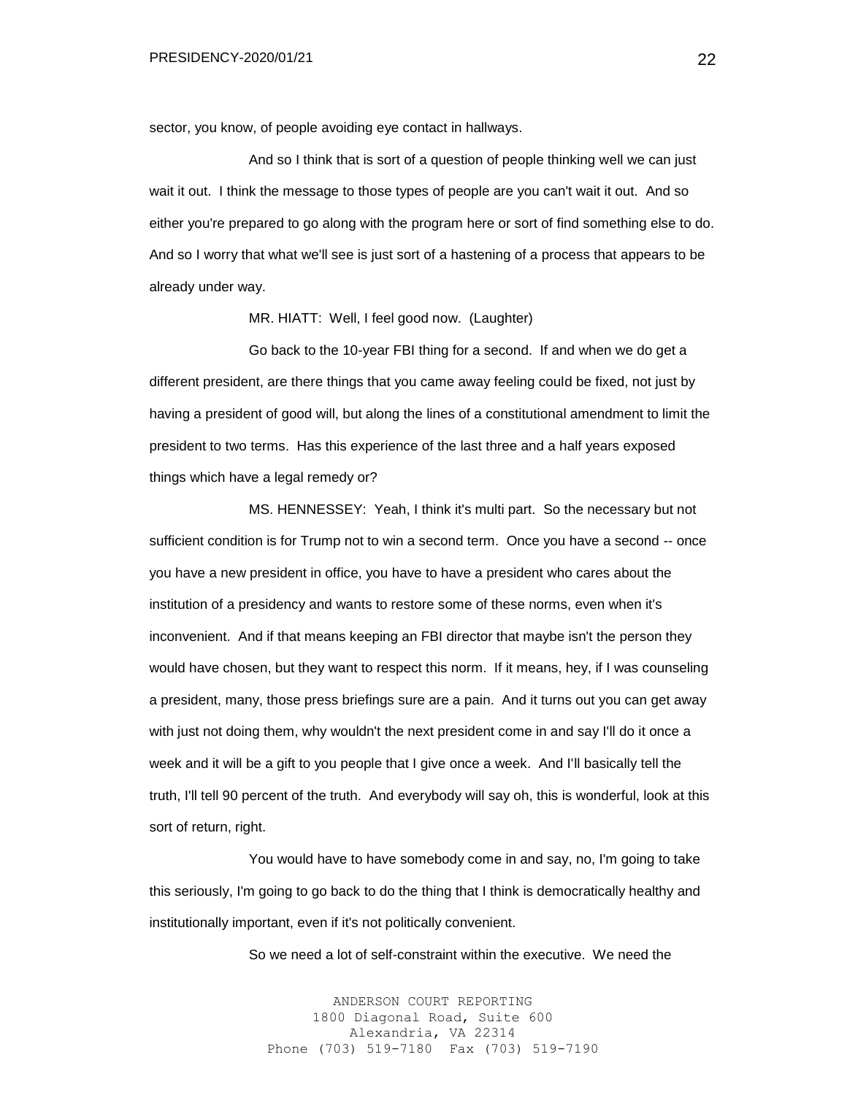sector, you know, of people avoiding eye contact in hallways.

And so I think that is sort of a question of people thinking well we can just wait it out. I think the message to those types of people are you can't wait it out. And so either you're prepared to go along with the program here or sort of find something else to do. And so I worry that what we'll see is just sort of a hastening of a process that appears to be already under way.

MR. HIATT: Well, I feel good now. (Laughter)

Go back to the 10-year FBI thing for a second. If and when we do get a different president, are there things that you came away feeling could be fixed, not just by having a president of good will, but along the lines of a constitutional amendment to limit the president to two terms. Has this experience of the last three and a half years exposed things which have a legal remedy or?

MS. HENNESSEY: Yeah, I think it's multi part. So the necessary but not sufficient condition is for Trump not to win a second term. Once you have a second -- once you have a new president in office, you have to have a president who cares about the institution of a presidency and wants to restore some of these norms, even when it's inconvenient. And if that means keeping an FBI director that maybe isn't the person they would have chosen, but they want to respect this norm. If it means, hey, if I was counseling a president, many, those press briefings sure are a pain. And it turns out you can get away with just not doing them, why wouldn't the next president come in and say I'll do it once a week and it will be a gift to you people that I give once a week. And I'll basically tell the truth, I'll tell 90 percent of the truth. And everybody will say oh, this is wonderful, look at this sort of return, right.

You would have to have somebody come in and say, no, I'm going to take this seriously, I'm going to go back to do the thing that I think is democratically healthy and institutionally important, even if it's not politically convenient.

So we need a lot of self-constraint within the executive. We need the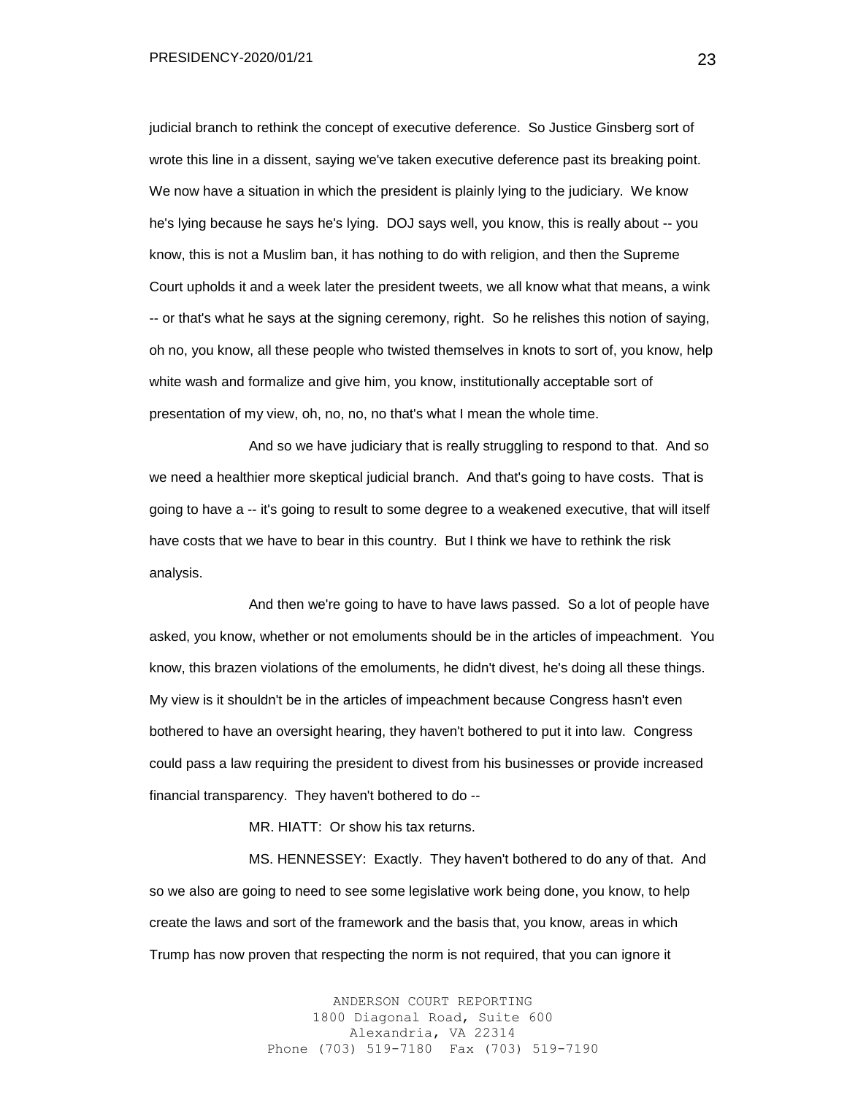PRESIDENCY-2020/01/21

judicial branch to rethink the concept of executive deference. So Justice Ginsberg sort of wrote this line in a dissent, saying we've taken executive deference past its breaking point. We now have a situation in which the president is plainly lying to the judiciary. We know he's lying because he says he's lying. DOJ says well, you know, this is really about -- you know, this is not a Muslim ban, it has nothing to do with religion, and then the Supreme Court upholds it and a week later the president tweets, we all know what that means, a wink -- or that's what he says at the signing ceremony, right. So he relishes this notion of saying, oh no, you know, all these people who twisted themselves in knots to sort of, you know, help white wash and formalize and give him, you know, institutionally acceptable sort of presentation of my view, oh, no, no, no that's what I mean the whole time.

And so we have judiciary that is really struggling to respond to that. And so we need a healthier more skeptical judicial branch. And that's going to have costs. That is going to have a -- it's going to result to some degree to a weakened executive, that will itself have costs that we have to bear in this country. But I think we have to rethink the risk analysis.

And then we're going to have to have laws passed. So a lot of people have asked, you know, whether or not emoluments should be in the articles of impeachment. You know, this brazen violations of the emoluments, he didn't divest, he's doing all these things. My view is it shouldn't be in the articles of impeachment because Congress hasn't even bothered to have an oversight hearing, they haven't bothered to put it into law. Congress could pass a law requiring the president to divest from his businesses or provide increased financial transparency. They haven't bothered to do --

MR. HIATT: Or show his tax returns.

MS. HENNESSEY: Exactly. They haven't bothered to do any of that. And so we also are going to need to see some legislative work being done, you know, to help create the laws and sort of the framework and the basis that, you know, areas in which Trump has now proven that respecting the norm is not required, that you can ignore it

> ANDERSON COURT REPORTING 1800 Diagonal Road, Suite 600 Alexandria, VA 22314 Phone (703) 519-7180 Fax (703) 519-7190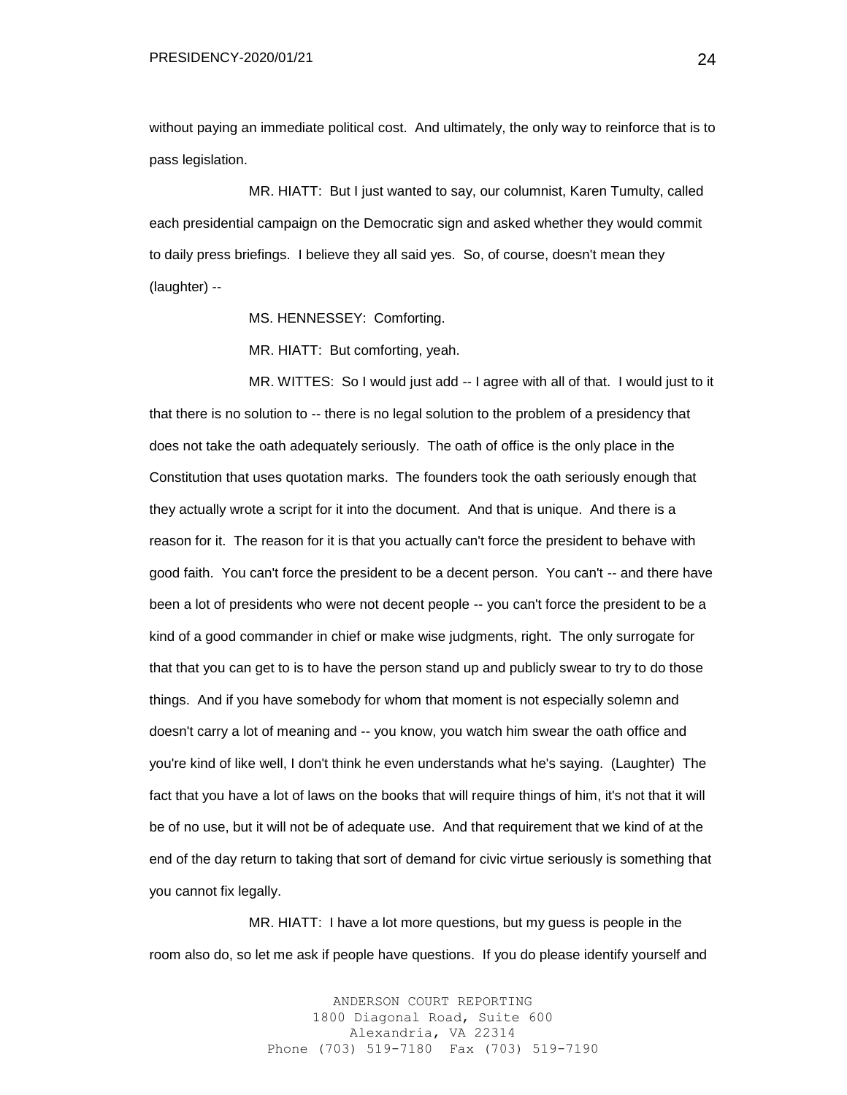without paying an immediate political cost. And ultimately, the only way to reinforce that is to pass legislation.

MR. HIATT: But I just wanted to say, our columnist, Karen Tumulty, called each presidential campaign on the Democratic sign and asked whether they would commit to daily press briefings. I believe they all said yes. So, of course, doesn't mean they (laughter) --

MS. HENNESSEY: Comforting.

MR. HIATT: But comforting, yeah.

MR. WITTES: So I would just add -- I agree with all of that. I would just to it that there is no solution to -- there is no legal solution to the problem of a presidency that does not take the oath adequately seriously. The oath of office is the only place in the Constitution that uses quotation marks. The founders took the oath seriously enough that they actually wrote a script for it into the document. And that is unique. And there is a reason for it. The reason for it is that you actually can't force the president to behave with good faith. You can't force the president to be a decent person. You can't -- and there have been a lot of presidents who were not decent people -- you can't force the president to be a kind of a good commander in chief or make wise judgments, right. The only surrogate for that that you can get to is to have the person stand up and publicly swear to try to do those things. And if you have somebody for whom that moment is not especially solemn and doesn't carry a lot of meaning and -- you know, you watch him swear the oath office and you're kind of like well, I don't think he even understands what he's saying. (Laughter) The fact that you have a lot of laws on the books that will require things of him, it's not that it will be of no use, but it will not be of adequate use. And that requirement that we kind of at the end of the day return to taking that sort of demand for civic virtue seriously is something that you cannot fix legally.

MR. HIATT: I have a lot more questions, but my guess is people in the room also do, so let me ask if people have questions. If you do please identify yourself and

> ANDERSON COURT REPORTING 1800 Diagonal Road, Suite 600 Alexandria, VA 22314 Phone (703) 519-7180 Fax (703) 519-7190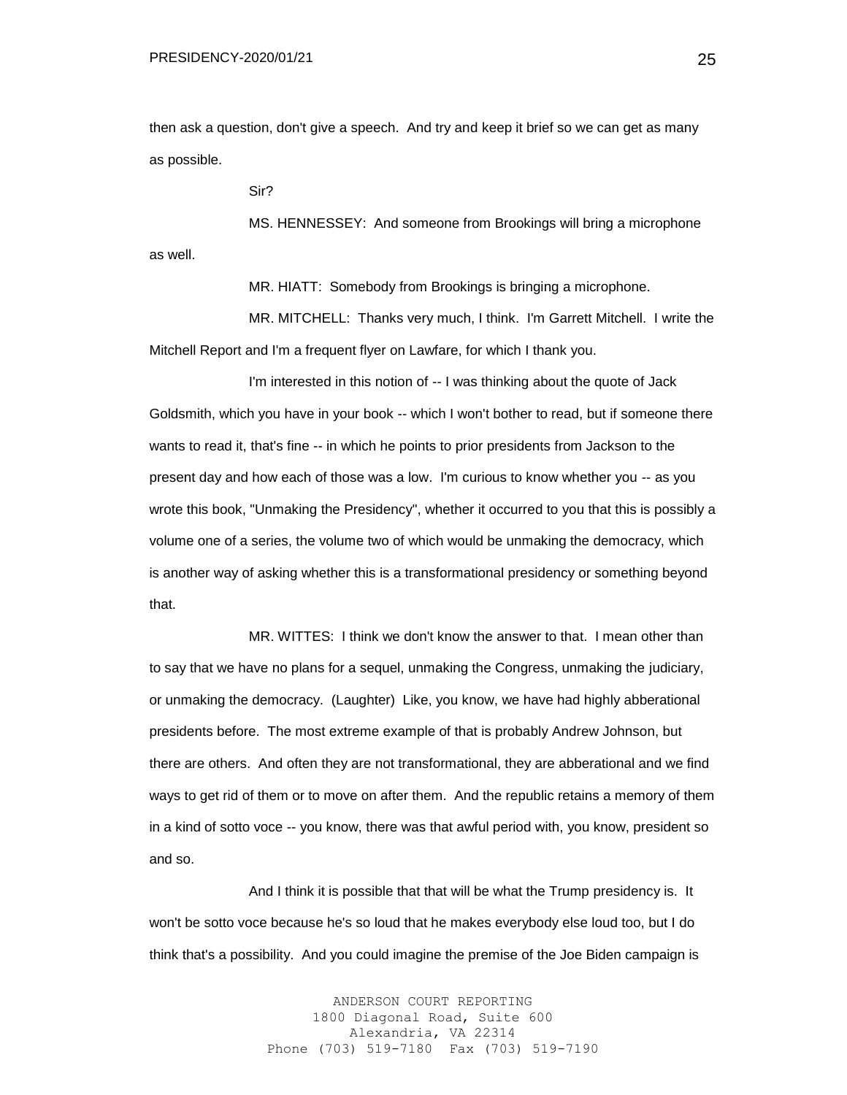then ask a question, don't give a speech. And try and keep it brief so we can get as many as possible.

Sir?

MS. HENNESSEY: And someone from Brookings will bring a microphone as well.

MR. HIATT: Somebody from Brookings is bringing a microphone.

MR. MITCHELL: Thanks very much, I think. I'm Garrett Mitchell. I write the Mitchell Report and I'm a frequent flyer on Lawfare, for which I thank you.

I'm interested in this notion of -- I was thinking about the quote of Jack Goldsmith, which you have in your book -- which I won't bother to read, but if someone there wants to read it, that's fine -- in which he points to prior presidents from Jackson to the present day and how each of those was a low. I'm curious to know whether you -- as you wrote this book, "Unmaking the Presidency", whether it occurred to you that this is possibly a volume one of a series, the volume two of which would be unmaking the democracy, which is another way of asking whether this is a transformational presidency or something beyond that.

MR. WITTES: I think we don't know the answer to that. I mean other than to say that we have no plans for a sequel, unmaking the Congress, unmaking the judiciary, or unmaking the democracy. (Laughter) Like, you know, we have had highly abberational presidents before. The most extreme example of that is probably Andrew Johnson, but there are others. And often they are not transformational, they are abberational and we find ways to get rid of them or to move on after them. And the republic retains a memory of them in a kind of sotto voce -- you know, there was that awful period with, you know, president so and so.

And I think it is possible that that will be what the Trump presidency is. It won't be sotto voce because he's so loud that he makes everybody else loud too, but I do think that's a possibility. And you could imagine the premise of the Joe Biden campaign is

> ANDERSON COURT REPORTING 1800 Diagonal Road, Suite 600 Alexandria, VA 22314 Phone (703) 519-7180 Fax (703) 519-7190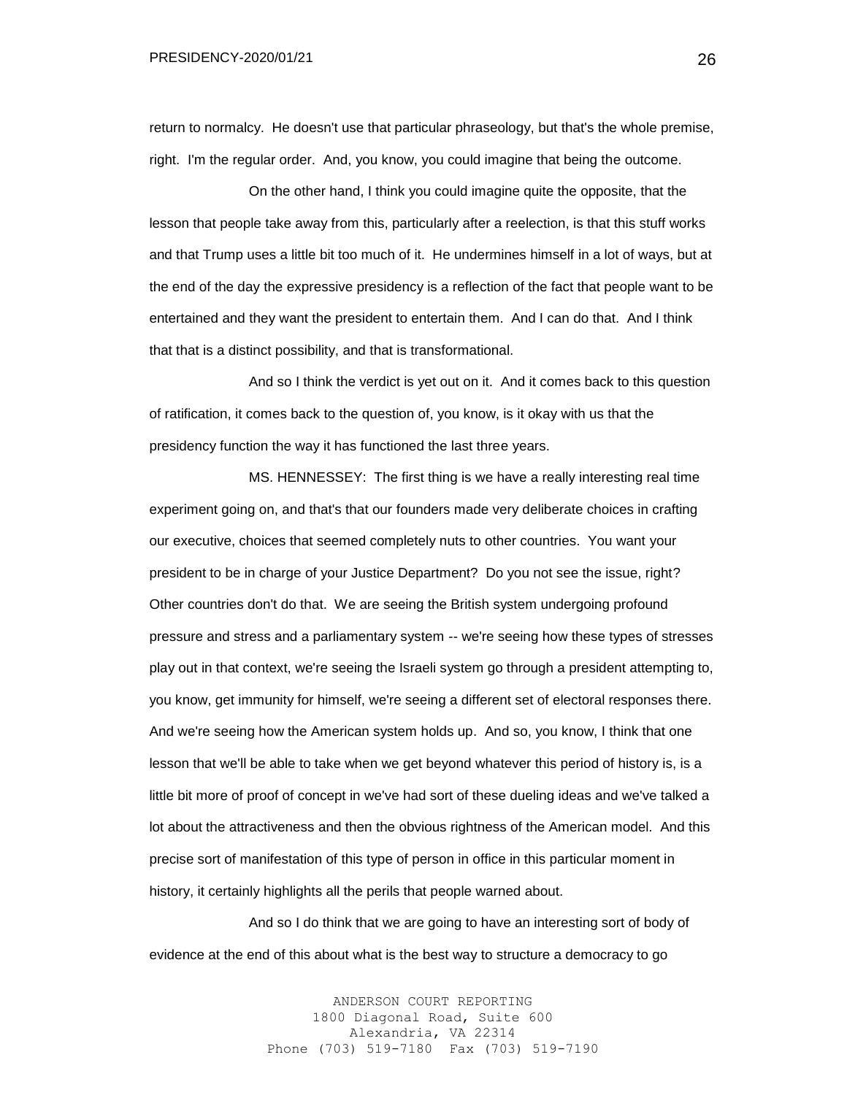return to normalcy. He doesn't use that particular phraseology, but that's the whole premise, right. I'm the regular order. And, you know, you could imagine that being the outcome.

On the other hand, I think you could imagine quite the opposite, that the lesson that people take away from this, particularly after a reelection, is that this stuff works and that Trump uses a little bit too much of it. He undermines himself in a lot of ways, but at the end of the day the expressive presidency is a reflection of the fact that people want to be entertained and they want the president to entertain them. And I can do that. And I think that that is a distinct possibility, and that is transformational.

And so I think the verdict is yet out on it. And it comes back to this question of ratification, it comes back to the question of, you know, is it okay with us that the presidency function the way it has functioned the last three years.

MS. HENNESSEY: The first thing is we have a really interesting real time experiment going on, and that's that our founders made very deliberate choices in crafting our executive, choices that seemed completely nuts to other countries. You want your president to be in charge of your Justice Department? Do you not see the issue, right? Other countries don't do that. We are seeing the British system undergoing profound pressure and stress and a parliamentary system -- we're seeing how these types of stresses play out in that context, we're seeing the Israeli system go through a president attempting to, you know, get immunity for himself, we're seeing a different set of electoral responses there. And we're seeing how the American system holds up. And so, you know, I think that one lesson that we'll be able to take when we get beyond whatever this period of history is, is a little bit more of proof of concept in we've had sort of these dueling ideas and we've talked a lot about the attractiveness and then the obvious rightness of the American model. And this precise sort of manifestation of this type of person in office in this particular moment in history, it certainly highlights all the perils that people warned about.

And so I do think that we are going to have an interesting sort of body of evidence at the end of this about what is the best way to structure a democracy to go

> ANDERSON COURT REPORTING 1800 Diagonal Road, Suite 600 Alexandria, VA 22314 Phone (703) 519-7180 Fax (703) 519-7190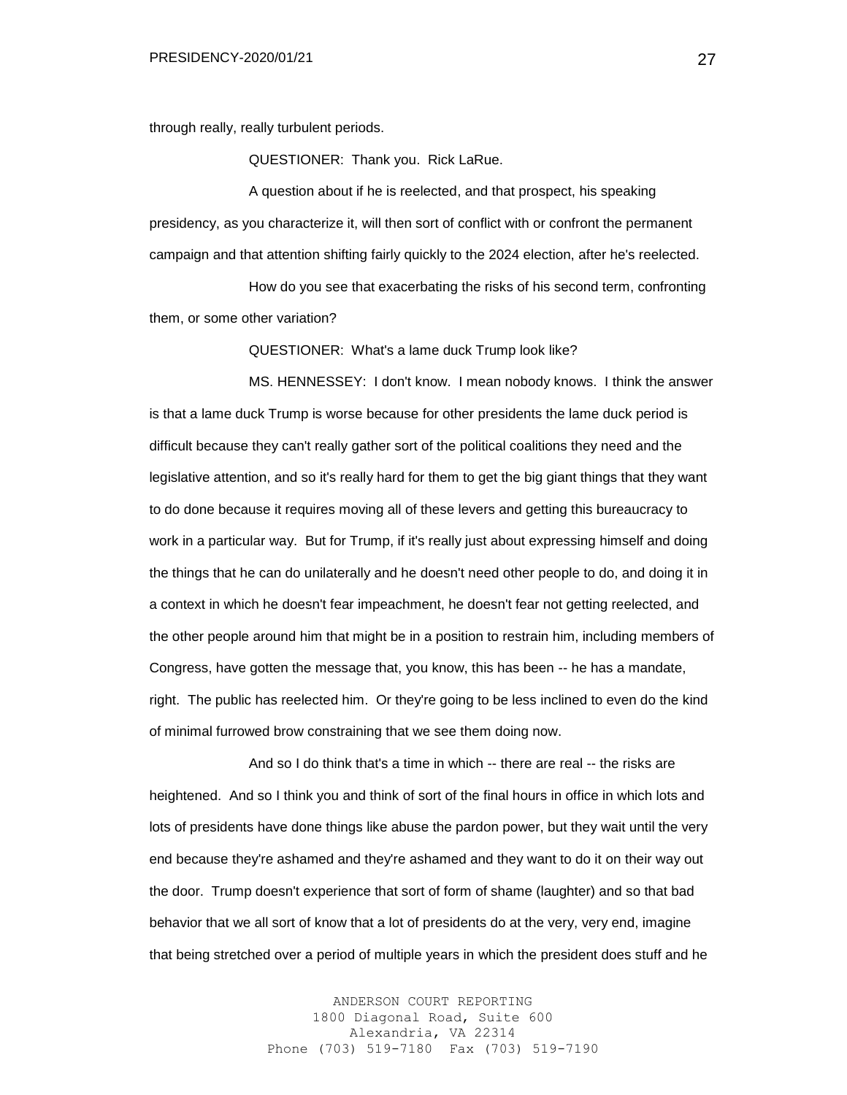through really, really turbulent periods.

QUESTIONER: Thank you. Rick LaRue.

A question about if he is reelected, and that prospect, his speaking presidency, as you characterize it, will then sort of conflict with or confront the permanent campaign and that attention shifting fairly quickly to the 2024 election, after he's reelected.

How do you see that exacerbating the risks of his second term, confronting them, or some other variation?

QUESTIONER: What's a lame duck Trump look like?

MS. HENNESSEY: I don't know. I mean nobody knows. I think the answer is that a lame duck Trump is worse because for other presidents the lame duck period is difficult because they can't really gather sort of the political coalitions they need and the legislative attention, and so it's really hard for them to get the big giant things that they want to do done because it requires moving all of these levers and getting this bureaucracy to work in a particular way. But for Trump, if it's really just about expressing himself and doing the things that he can do unilaterally and he doesn't need other people to do, and doing it in a context in which he doesn't fear impeachment, he doesn't fear not getting reelected, and the other people around him that might be in a position to restrain him, including members of Congress, have gotten the message that, you know, this has been -- he has a mandate, right. The public has reelected him. Or they're going to be less inclined to even do the kind of minimal furrowed brow constraining that we see them doing now.

And so I do think that's a time in which -- there are real -- the risks are heightened. And so I think you and think of sort of the final hours in office in which lots and lots of presidents have done things like abuse the pardon power, but they wait until the very end because they're ashamed and they're ashamed and they want to do it on their way out the door. Trump doesn't experience that sort of form of shame (laughter) and so that bad behavior that we all sort of know that a lot of presidents do at the very, very end, imagine that being stretched over a period of multiple years in which the president does stuff and he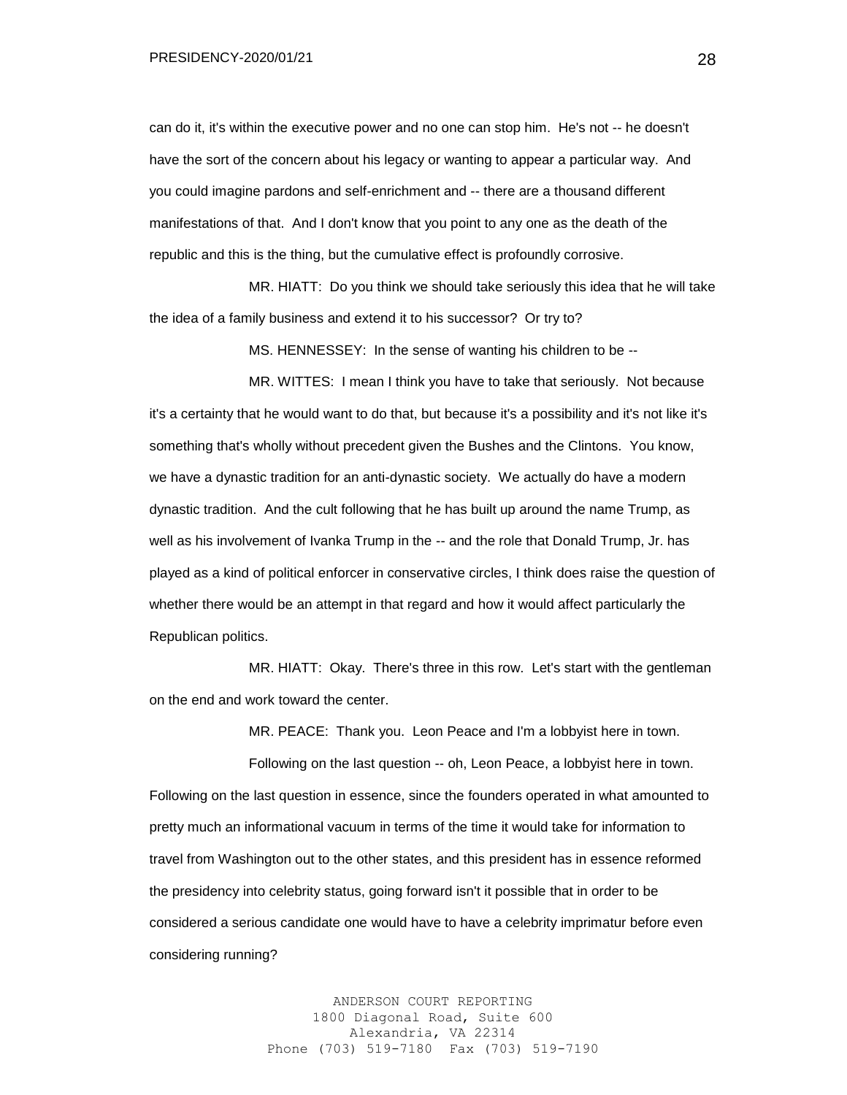PRESIDENCY-2020/01/21

can do it, it's within the executive power and no one can stop him. He's not -- he doesn't have the sort of the concern about his legacy or wanting to appear a particular way. And you could imagine pardons and self-enrichment and -- there are a thousand different manifestations of that. And I don't know that you point to any one as the death of the republic and this is the thing, but the cumulative effect is profoundly corrosive.

MR. HIATT: Do you think we should take seriously this idea that he will take the idea of a family business and extend it to his successor? Or try to?

MS. HENNESSEY: In the sense of wanting his children to be --

MR. WITTES: I mean I think you have to take that seriously. Not because it's a certainty that he would want to do that, but because it's a possibility and it's not like it's something that's wholly without precedent given the Bushes and the Clintons. You know, we have a dynastic tradition for an anti-dynastic society. We actually do have a modern dynastic tradition. And the cult following that he has built up around the name Trump, as well as his involvement of Ivanka Trump in the -- and the role that Donald Trump, Jr. has played as a kind of political enforcer in conservative circles, I think does raise the question of whether there would be an attempt in that regard and how it would affect particularly the Republican politics.

MR. HIATT: Okay. There's three in this row. Let's start with the gentleman on the end and work toward the center.

MR. PEACE: Thank you. Leon Peace and I'm a lobbyist here in town.

Following on the last question -- oh, Leon Peace, a lobbyist here in town. Following on the last question in essence, since the founders operated in what amounted to pretty much an informational vacuum in terms of the time it would take for information to travel from Washington out to the other states, and this president has in essence reformed the presidency into celebrity status, going forward isn't it possible that in order to be considered a serious candidate one would have to have a celebrity imprimatur before even considering running?

> ANDERSON COURT REPORTING 1800 Diagonal Road, Suite 600 Alexandria, VA 22314 Phone (703) 519-7180 Fax (703) 519-7190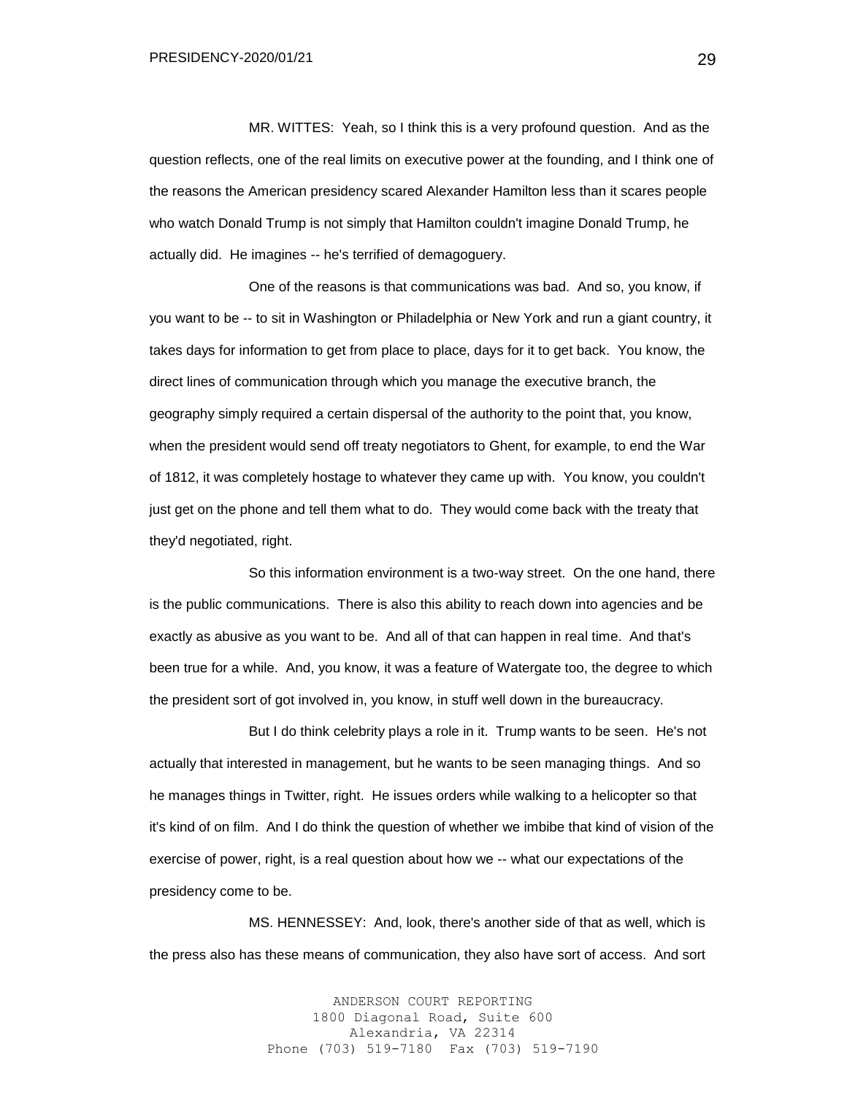MR. WITTES: Yeah, so I think this is a very profound question. And as the question reflects, one of the real limits on executive power at the founding, and I think one of the reasons the American presidency scared Alexander Hamilton less than it scares people who watch Donald Trump is not simply that Hamilton couldn't imagine Donald Trump, he actually did. He imagines -- he's terrified of demagoguery.

One of the reasons is that communications was bad. And so, you know, if you want to be -- to sit in Washington or Philadelphia or New York and run a giant country, it takes days for information to get from place to place, days for it to get back. You know, the direct lines of communication through which you manage the executive branch, the geography simply required a certain dispersal of the authority to the point that, you know, when the president would send off treaty negotiators to Ghent, for example, to end the War of 1812, it was completely hostage to whatever they came up with. You know, you couldn't just get on the phone and tell them what to do. They would come back with the treaty that they'd negotiated, right.

So this information environment is a two-way street. On the one hand, there is the public communications. There is also this ability to reach down into agencies and be exactly as abusive as you want to be. And all of that can happen in real time. And that's been true for a while. And, you know, it was a feature of Watergate too, the degree to which the president sort of got involved in, you know, in stuff well down in the bureaucracy.

But I do think celebrity plays a role in it. Trump wants to be seen. He's not actually that interested in management, but he wants to be seen managing things. And so he manages things in Twitter, right. He issues orders while walking to a helicopter so that it's kind of on film. And I do think the question of whether we imbibe that kind of vision of the exercise of power, right, is a real question about how we -- what our expectations of the presidency come to be.

MS. HENNESSEY: And, look, there's another side of that as well, which is the press also has these means of communication, they also have sort of access. And sort

> ANDERSON COURT REPORTING 1800 Diagonal Road, Suite 600 Alexandria, VA 22314 Phone (703) 519-7180 Fax (703) 519-7190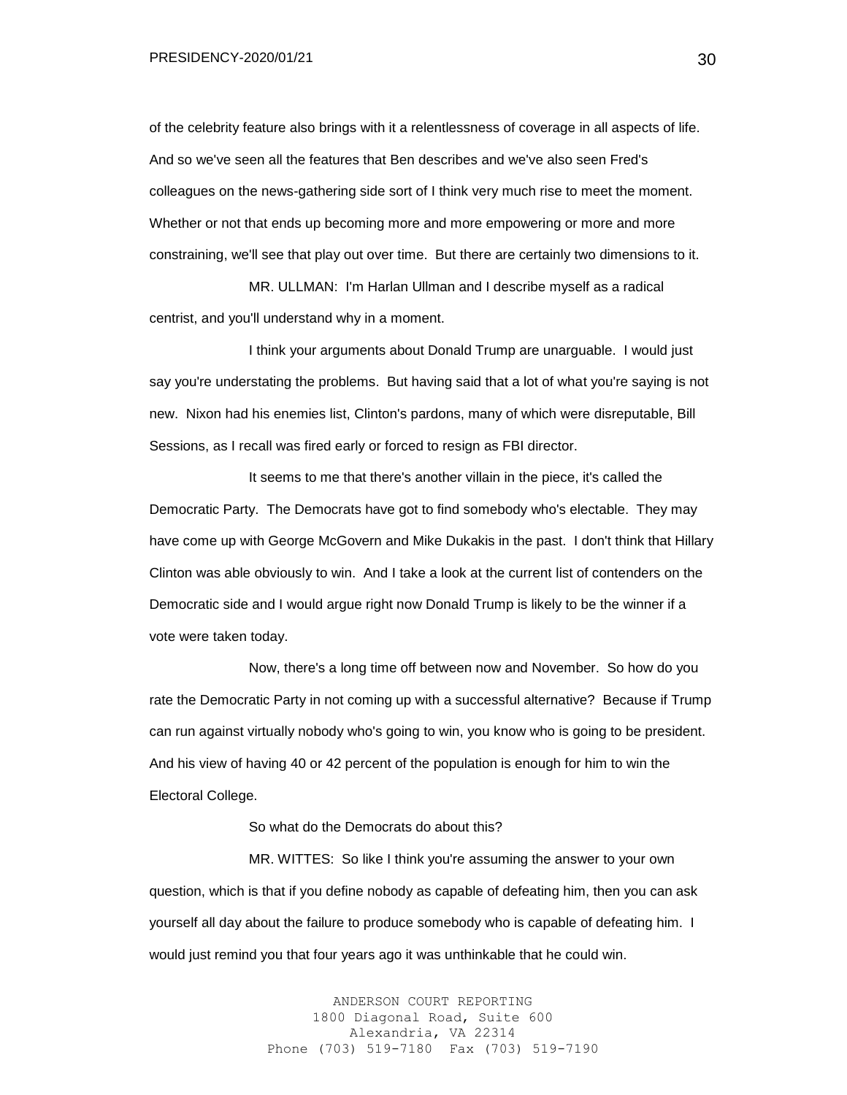of the celebrity feature also brings with it a relentlessness of coverage in all aspects of life. And so we've seen all the features that Ben describes and we've also seen Fred's colleagues on the news-gathering side sort of I think very much rise to meet the moment. Whether or not that ends up becoming more and more empowering or more and more constraining, we'll see that play out over time. But there are certainly two dimensions to it.

MR. ULLMAN: I'm Harlan Ullman and I describe myself as a radical centrist, and you'll understand why in a moment.

I think your arguments about Donald Trump are unarguable. I would just say you're understating the problems. But having said that a lot of what you're saying is not new. Nixon had his enemies list, Clinton's pardons, many of which were disreputable, Bill Sessions, as I recall was fired early or forced to resign as FBI director.

It seems to me that there's another villain in the piece, it's called the Democratic Party. The Democrats have got to find somebody who's electable. They may have come up with George McGovern and Mike Dukakis in the past. I don't think that Hillary Clinton was able obviously to win. And I take a look at the current list of contenders on the Democratic side and I would argue right now Donald Trump is likely to be the winner if a vote were taken today.

Now, there's a long time off between now and November. So how do you rate the Democratic Party in not coming up with a successful alternative? Because if Trump can run against virtually nobody who's going to win, you know who is going to be president. And his view of having 40 or 42 percent of the population is enough for him to win the Electoral College.

So what do the Democrats do about this?

MR. WITTES: So like I think you're assuming the answer to your own question, which is that if you define nobody as capable of defeating him, then you can ask yourself all day about the failure to produce somebody who is capable of defeating him. I would just remind you that four years ago it was unthinkable that he could win.

> ANDERSON COURT REPORTING 1800 Diagonal Road, Suite 600 Alexandria, VA 22314 Phone (703) 519-7180 Fax (703) 519-7190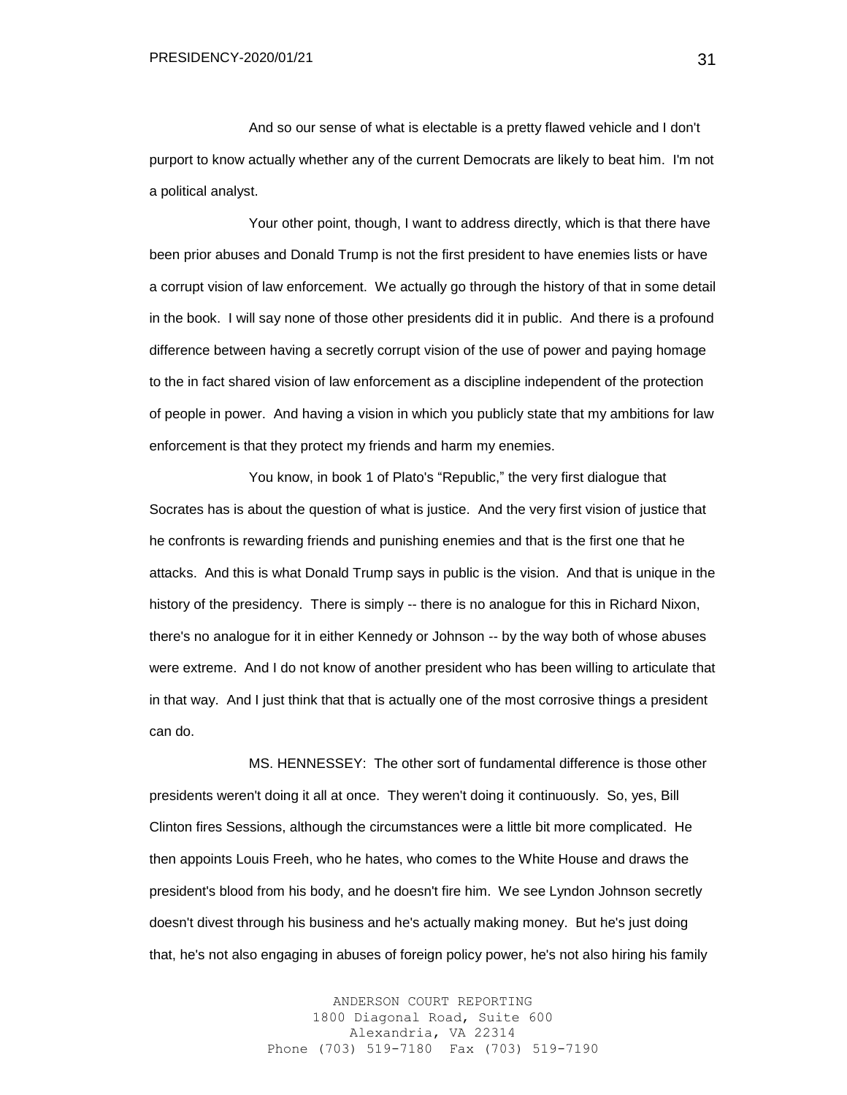And so our sense of what is electable is a pretty flawed vehicle and I don't purport to know actually whether any of the current Democrats are likely to beat him. I'm not a political analyst.

Your other point, though, I want to address directly, which is that there have been prior abuses and Donald Trump is not the first president to have enemies lists or have a corrupt vision of law enforcement. We actually go through the history of that in some detail in the book. I will say none of those other presidents did it in public. And there is a profound difference between having a secretly corrupt vision of the use of power and paying homage to the in fact shared vision of law enforcement as a discipline independent of the protection of people in power. And having a vision in which you publicly state that my ambitions for law enforcement is that they protect my friends and harm my enemies.

You know, in book 1 of Plato's "Republic," the very first dialogue that Socrates has is about the question of what is justice. And the very first vision of justice that he confronts is rewarding friends and punishing enemies and that is the first one that he attacks. And this is what Donald Trump says in public is the vision. And that is unique in the history of the presidency. There is simply -- there is no analogue for this in Richard Nixon, there's no analogue for it in either Kennedy or Johnson -- by the way both of whose abuses were extreme. And I do not know of another president who has been willing to articulate that in that way. And I just think that that is actually one of the most corrosive things a president can do.

MS. HENNESSEY: The other sort of fundamental difference is those other presidents weren't doing it all at once. They weren't doing it continuously. So, yes, Bill Clinton fires Sessions, although the circumstances were a little bit more complicated. He then appoints Louis Freeh, who he hates, who comes to the White House and draws the president's blood from his body, and he doesn't fire him. We see Lyndon Johnson secretly doesn't divest through his business and he's actually making money. But he's just doing that, he's not also engaging in abuses of foreign policy power, he's not also hiring his family

> ANDERSON COURT REPORTING 1800 Diagonal Road, Suite 600 Alexandria, VA 22314 Phone (703) 519-7180 Fax (703) 519-7190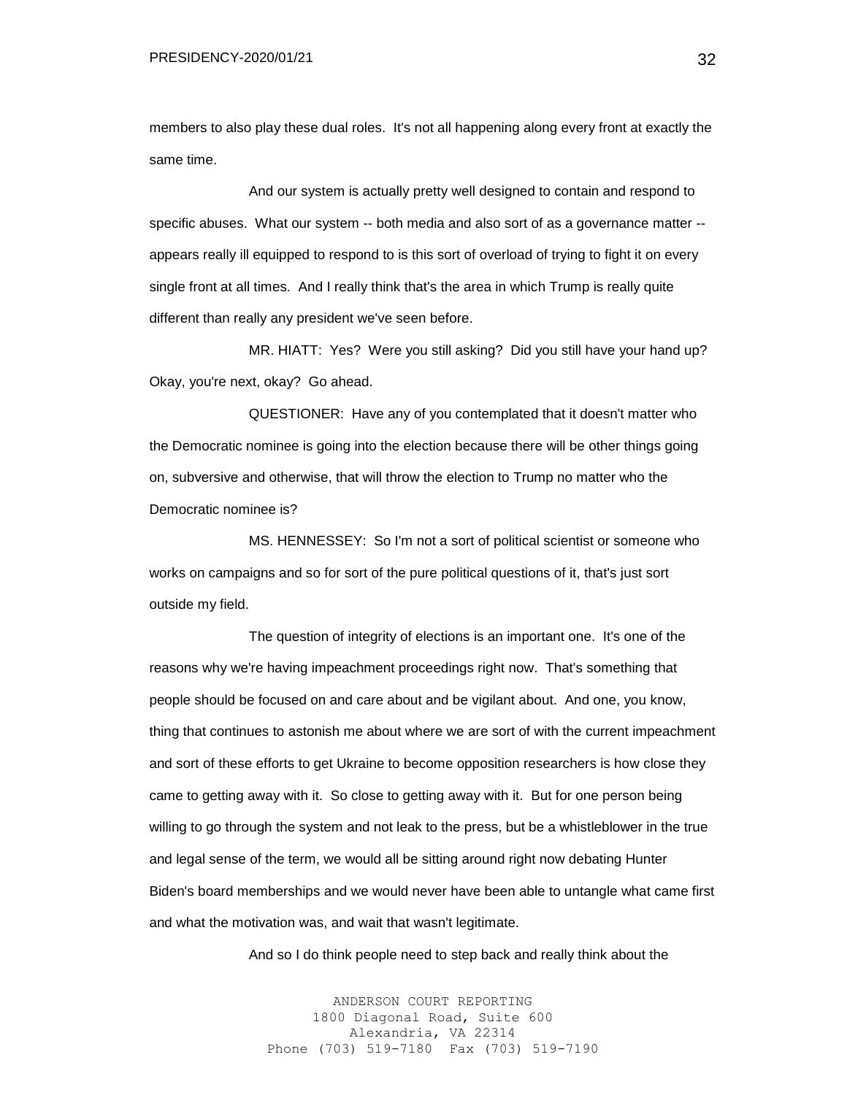members to also play these dual roles. It's not all happening along every front at exactly the same time.

And our system is actually pretty well designed to contain and respond to specific abuses. What our system -- both media and also sort of as a governance matter - appears really ill equipped to respond to is this sort of overload of trying to fight it on every single front at all times. And I really think that's the area in which Trump is really quite different than really any president we've seen before.

MR. HIATT: Yes? Were you still asking? Did you still have your hand up? Okay, you're next, okay? Go ahead.

QUESTIONER: Have any of you contemplated that it doesn't matter who the Democratic nominee is going into the election because there will be other things going on, subversive and otherwise, that will throw the election to Trump no matter who the Democratic nominee is?

MS. HENNESSEY: So I'm not a sort of political scientist or someone who works on campaigns and so for sort of the pure political questions of it, that's just sort outside my field.

The question of integrity of elections is an important one. It's one of the reasons why we're having impeachment proceedings right now. That's something that people should be focused on and care about and be vigilant about. And one, you know, thing that continues to astonish me about where we are sort of with the current impeachment and sort of these efforts to get Ukraine to become opposition researchers is how close they came to getting away with it. So close to getting away with it. But for one person being willing to go through the system and not leak to the press, but be a whistleblower in the true and legal sense of the term, we would all be sitting around right now debating Hunter Biden's board memberships and we would never have been able to untangle what came first and what the motivation was, and wait that wasn't legitimate.

And so I do think people need to step back and really think about the

ANDERSON COURT REPORTING 1800 Diagonal Road, Suite 600 Alexandria, VA 22314 Phone (703) 519-7180 Fax (703) 519-7190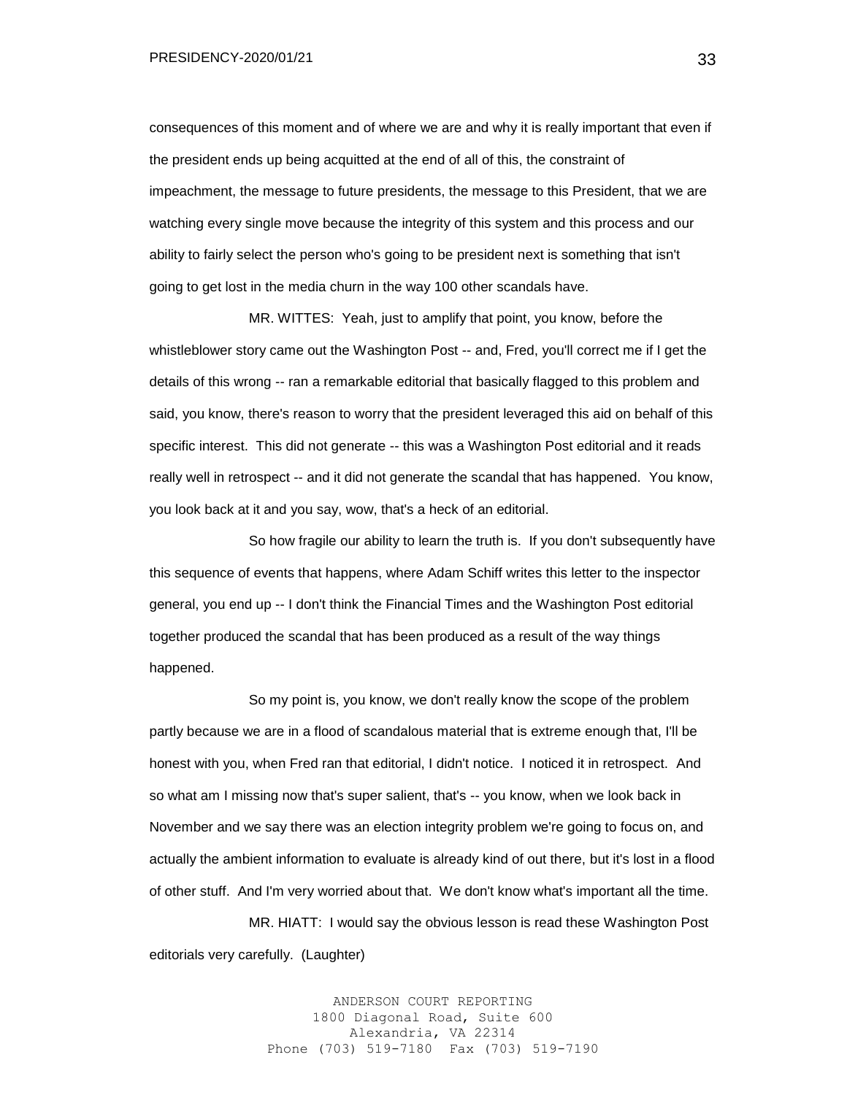consequences of this moment and of where we are and why it is really important that even if the president ends up being acquitted at the end of all of this, the constraint of impeachment, the message to future presidents, the message to this President, that we are watching every single move because the integrity of this system and this process and our ability to fairly select the person who's going to be president next is something that isn't going to get lost in the media churn in the way 100 other scandals have.

MR. WITTES: Yeah, just to amplify that point, you know, before the whistleblower story came out the Washington Post -- and, Fred, you'll correct me if I get the details of this wrong -- ran a remarkable editorial that basically flagged to this problem and said, you know, there's reason to worry that the president leveraged this aid on behalf of this specific interest. This did not generate -- this was a Washington Post editorial and it reads really well in retrospect -- and it did not generate the scandal that has happened. You know, you look back at it and you say, wow, that's a heck of an editorial.

So how fragile our ability to learn the truth is. If you don't subsequently have this sequence of events that happens, where Adam Schiff writes this letter to the inspector general, you end up -- I don't think the Financial Times and the Washington Post editorial together produced the scandal that has been produced as a result of the way things happened.

So my point is, you know, we don't really know the scope of the problem partly because we are in a flood of scandalous material that is extreme enough that, I'll be honest with you, when Fred ran that editorial, I didn't notice. I noticed it in retrospect. And so what am I missing now that's super salient, that's -- you know, when we look back in November and we say there was an election integrity problem we're going to focus on, and actually the ambient information to evaluate is already kind of out there, but it's lost in a flood of other stuff. And I'm very worried about that. We don't know what's important all the time.

MR. HIATT: I would say the obvious lesson is read these Washington Post editorials very carefully. (Laughter)

> ANDERSON COURT REPORTING 1800 Diagonal Road, Suite 600 Alexandria, VA 22314 Phone (703) 519-7180 Fax (703) 519-7190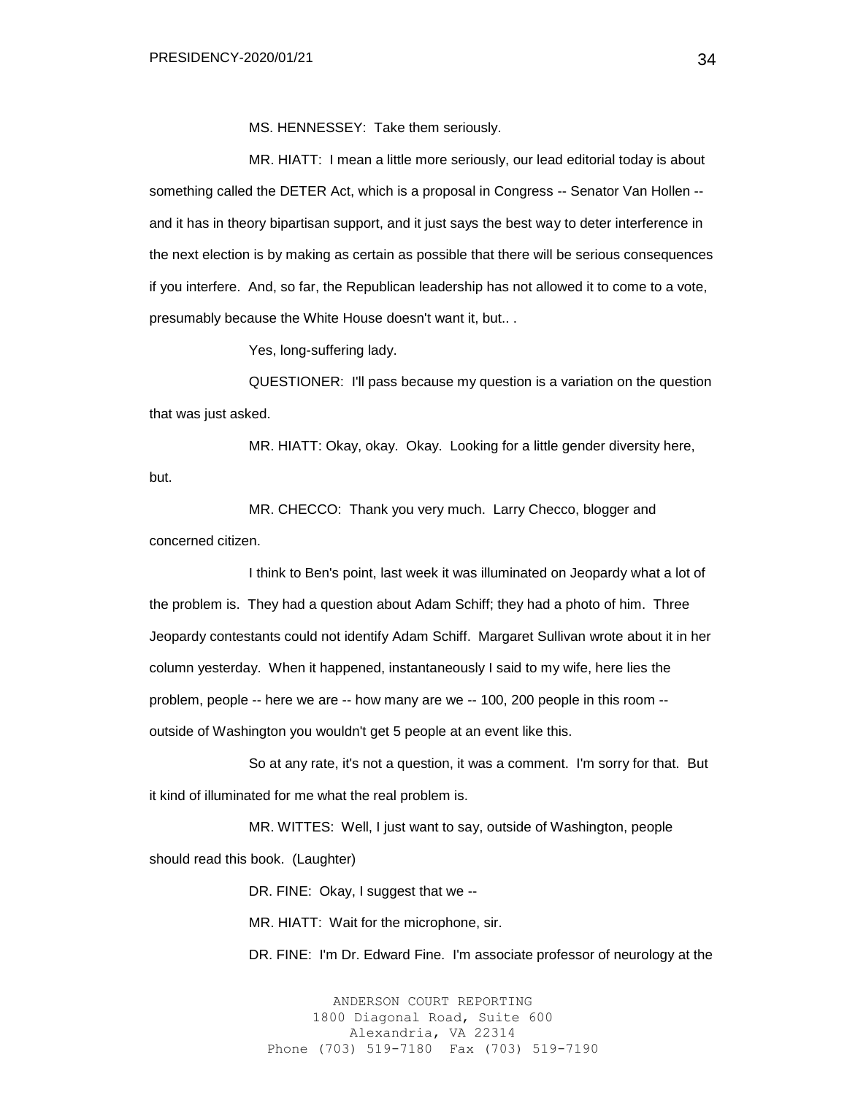MS. HENNESSEY: Take them seriously.

MR. HIATT: I mean a little more seriously, our lead editorial today is about something called the DETER Act, which is a proposal in Congress -- Senator Van Hollen -and it has in theory bipartisan support, and it just says the best way to deter interference in the next election is by making as certain as possible that there will be serious consequences if you interfere. And, so far, the Republican leadership has not allowed it to come to a vote, presumably because the White House doesn't want it, but.. .

Yes, long-suffering lady.

QUESTIONER: I'll pass because my question is a variation on the question that was just asked.

MR. HIATT: Okay, okay. Okay. Looking for a little gender diversity here, but.

MR. CHECCO: Thank you very much. Larry Checco, blogger and concerned citizen.

I think to Ben's point, last week it was illuminated on Jeopardy what a lot of the problem is. They had a question about Adam Schiff; they had a photo of him. Three Jeopardy contestants could not identify Adam Schiff. Margaret Sullivan wrote about it in her column yesterday. When it happened, instantaneously I said to my wife, here lies the problem, people -- here we are -- how many are we -- 100, 200 people in this room - outside of Washington you wouldn't get 5 people at an event like this.

So at any rate, it's not a question, it was a comment. I'm sorry for that. But it kind of illuminated for me what the real problem is.

MR. WITTES: Well, I just want to say, outside of Washington, people should read this book. (Laughter)

DR. FINE: Okay, I suggest that we --

MR. HIATT: Wait for the microphone, sir.

DR. FINE: I'm Dr. Edward Fine. I'm associate professor of neurology at the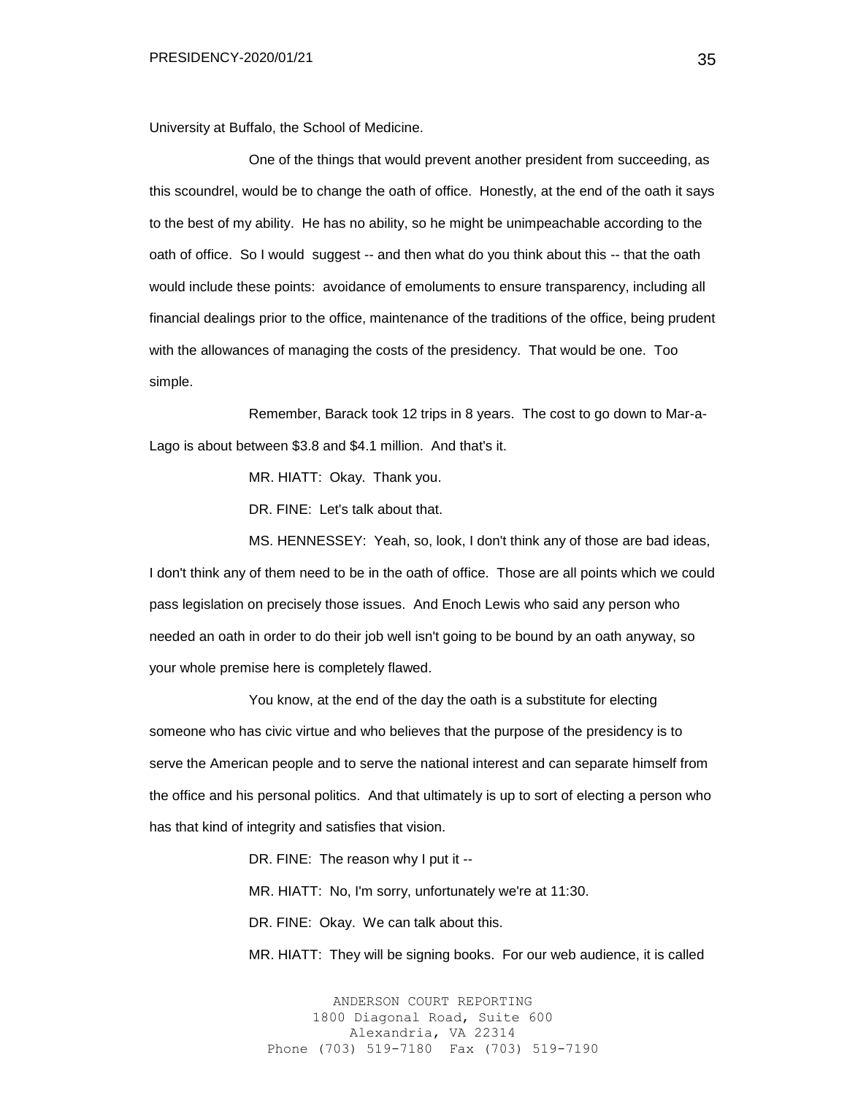University at Buffalo, the School of Medicine.

One of the things that would prevent another president from succeeding, as this scoundrel, would be to change the oath of office. Honestly, at the end of the oath it says to the best of my ability. He has no ability, so he might be unimpeachable according to the oath of office. So I would suggest -- and then what do you think about this -- that the oath would include these points: avoidance of emoluments to ensure transparency, including all financial dealings prior to the office, maintenance of the traditions of the office, being prudent with the allowances of managing the costs of the presidency. That would be one. Too simple.

Remember, Barack took 12 trips in 8 years. The cost to go down to Mar-a-Lago is about between \$3.8 and \$4.1 million. And that's it.

MR. HIATT: Okay. Thank you.

DR. FINE: Let's talk about that.

MS. HENNESSEY: Yeah, so, look, I don't think any of those are bad ideas, I don't think any of them need to be in the oath of office. Those are all points which we could pass legislation on precisely those issues. And Enoch Lewis who said any person who needed an oath in order to do their job well isn't going to be bound by an oath anyway, so your whole premise here is completely flawed.

You know, at the end of the day the oath is a substitute for electing someone who has civic virtue and who believes that the purpose of the presidency is to serve the American people and to serve the national interest and can separate himself from the office and his personal politics. And that ultimately is up to sort of electing a person who has that kind of integrity and satisfies that vision.

DR. FINE: The reason why I put it --

MR. HIATT: No, I'm sorry, unfortunately we're at 11:30.

DR. FINE: Okay. We can talk about this.

MR. HIATT: They will be signing books. For our web audience, it is called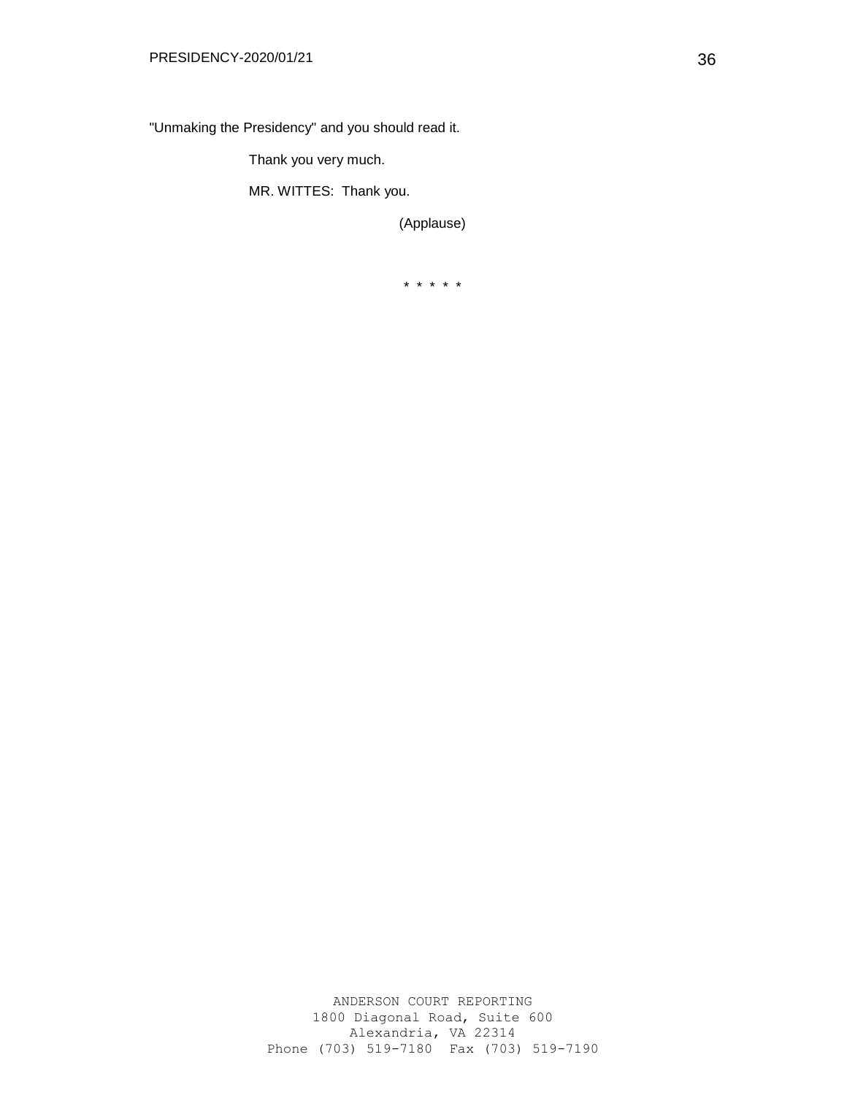"Unmaking the Presidency" and you should read it.

Thank you very much.

MR. WITTES: Thank you.

(Applause)

\* \* \* \* \*